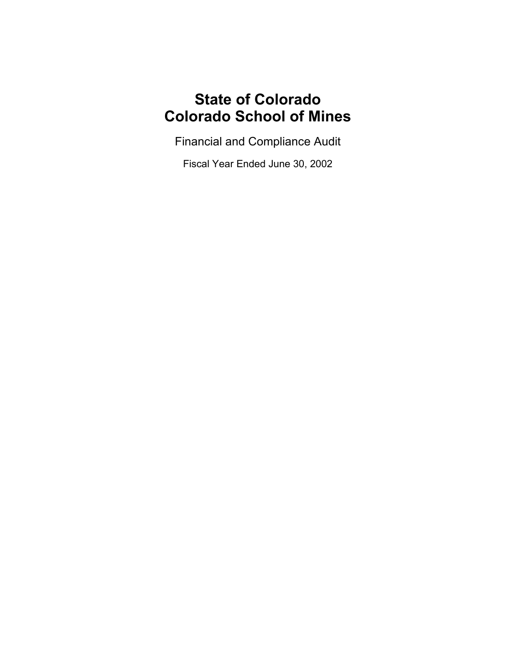# **State of Colorado Colorado School of Mines**

Financial and Compliance Audit

Fiscal Year Ended June 30, 2002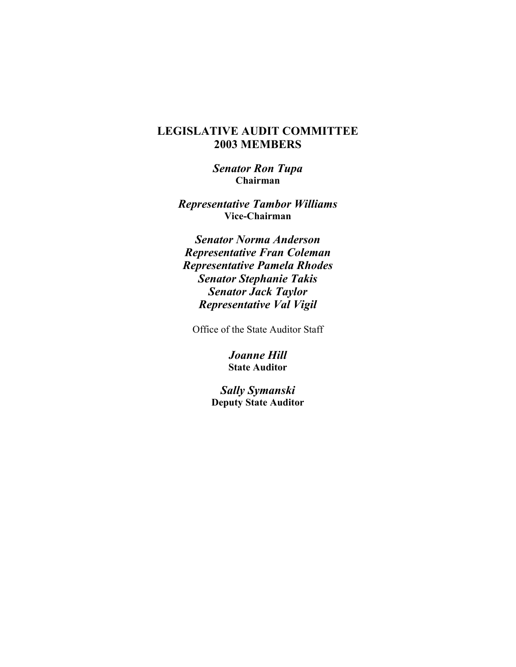## **LEGISLATIVE AUDIT COMMITTEE 2003 MEMBERS**

*Senator Ron Tupa* **Chairman**

*Representative Tambor Williams* **Vice-Chairman**

*Senator Norma Anderson Representative Fran Coleman Representative Pamela Rhodes Senator Stephanie Takis Senator Jack Taylor Representative Val Vigil*

Office of the State Auditor Staff

*Joanne Hill* **State Auditor**

*Sally Symanski* **Deputy State Auditor**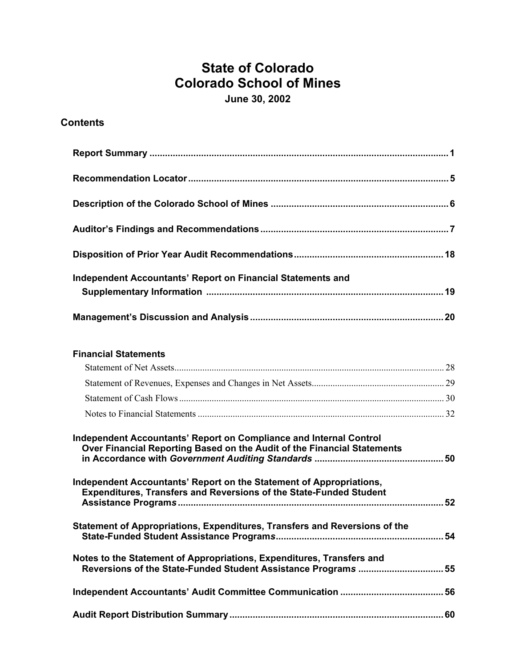## **State of Colorado Colorado School of Mines June 30, 2002**

## **Contents**

| Independent Accountants' Report on Financial Statements and |  |
|-------------------------------------------------------------|--|
|                                                             |  |

## **Financial Statements**

| Independent Accountants' Report on Compliance and Internal Control<br>Over Financial Reporting Based on the Audit of the Financial Statements    |  |
|--------------------------------------------------------------------------------------------------------------------------------------------------|--|
| Independent Accountants' Report on the Statement of Appropriations,<br><b>Expenditures, Transfers and Reversions of the State-Funded Student</b> |  |
| Statement of Appropriations, Expenditures, Transfers and Reversions of the                                                                       |  |
| Notes to the Statement of Appropriations, Expenditures, Transfers and<br>Reversions of the State-Funded Student Assistance Programs  55          |  |
|                                                                                                                                                  |  |
|                                                                                                                                                  |  |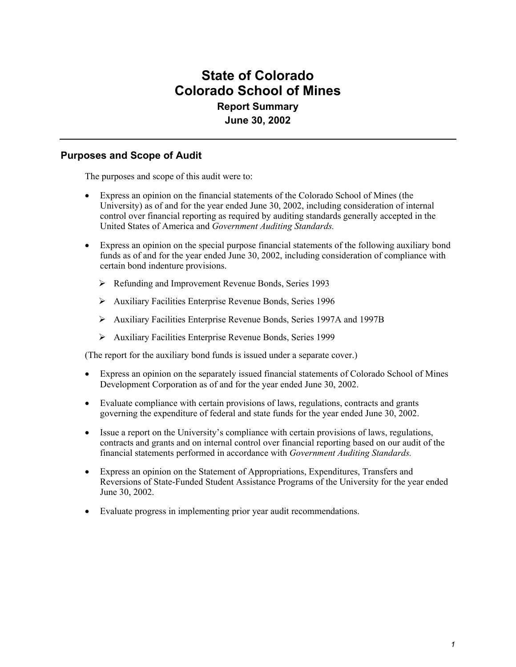## **State of Colorado Colorado School of Mines Report Summary June 30, 2002**

### **Purposes and Scope of Audit**

The purposes and scope of this audit were to:

- Express an opinion on the financial statements of the Colorado School of Mines (the University) as of and for the year ended June 30, 2002, including consideration of internal control over financial reporting as required by auditing standards generally accepted in the United States of America and *Government Auditing Standards.*
- Express an opinion on the special purpose financial statements of the following auxiliary bond funds as of and for the year ended June 30, 2002, including consideration of compliance with certain bond indenture provisions.
	- ¾ Refunding and Improvement Revenue Bonds, Series 1993
	- ¾ Auxiliary Facilities Enterprise Revenue Bonds, Series 1996
	- ¾ Auxiliary Facilities Enterprise Revenue Bonds, Series 1997A and 1997B
	- ¾ Auxiliary Facilities Enterprise Revenue Bonds, Series 1999

(The report for the auxiliary bond funds is issued under a separate cover.)

- Express an opinion on the separately issued financial statements of Colorado School of Mines Development Corporation as of and for the year ended June 30, 2002.
- Evaluate compliance with certain provisions of laws, regulations, contracts and grants governing the expenditure of federal and state funds for the year ended June 30, 2002.
- Issue a report on the University's compliance with certain provisions of laws, regulations, contracts and grants and on internal control over financial reporting based on our audit of the financial statements performed in accordance with *Government Auditing Standards.*
- Express an opinion on the Statement of Appropriations, Expenditures, Transfers and Reversions of State-Funded Student Assistance Programs of the University for the year ended June 30, 2002.
- Evaluate progress in implementing prior year audit recommendations.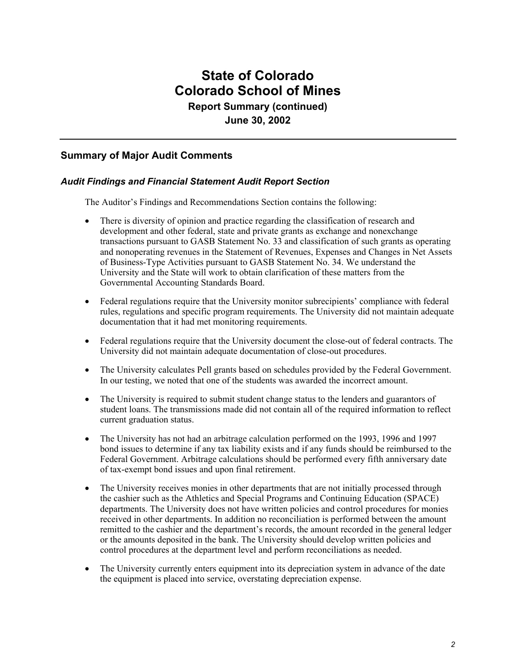## **State of Colorado Colorado School of Mines Report Summary (continued) June 30, 2002**

### **Summary of Major Audit Comments**

#### *Audit Findings and Financial Statement Audit Report Section*

The Auditor's Findings and Recommendations Section contains the following:

- There is diversity of opinion and practice regarding the classification of research and development and other federal, state and private grants as exchange and nonexchange transactions pursuant to GASB Statement No. 33 and classification of such grants as operating and nonoperating revenues in the Statement of Revenues, Expenses and Changes in Net Assets of Business-Type Activities pursuant to GASB Statement No. 34. We understand the University and the State will work to obtain clarification of these matters from the Governmental Accounting Standards Board.
- Federal regulations require that the University monitor subrecipients' compliance with federal rules, regulations and specific program requirements. The University did not maintain adequate documentation that it had met monitoring requirements.
- Federal regulations require that the University document the close-out of federal contracts. The University did not maintain adequate documentation of close-out procedures.
- The University calculates Pell grants based on schedules provided by the Federal Government. In our testing, we noted that one of the students was awarded the incorrect amount.
- The University is required to submit student change status to the lenders and guarantors of student loans. The transmissions made did not contain all of the required information to reflect current graduation status.
- The University has not had an arbitrage calculation performed on the 1993, 1996 and 1997 bond issues to determine if any tax liability exists and if any funds should be reimbursed to the Federal Government. Arbitrage calculations should be performed every fifth anniversary date of tax-exempt bond issues and upon final retirement.
- The University receives monies in other departments that are not initially processed through the cashier such as the Athletics and Special Programs and Continuing Education (SPACE) departments. The University does not have written policies and control procedures for monies received in other departments. In addition no reconciliation is performed between the amount remitted to the cashier and the department's records, the amount recorded in the general ledger or the amounts deposited in the bank. The University should develop written policies and control procedures at the department level and perform reconciliations as needed.
- The University currently enters equipment into its depreciation system in advance of the date the equipment is placed into service, overstating depreciation expense.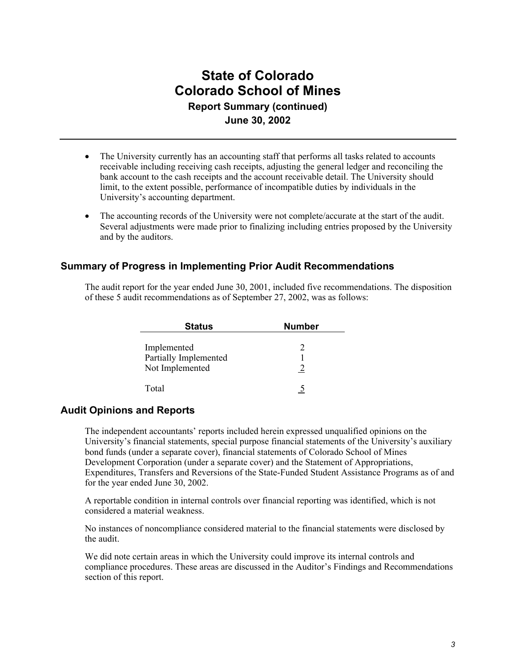## **State of Colorado Colorado School of Mines Report Summary (continued) June 30, 2002**

- The University currently has an accounting staff that performs all tasks related to accounts receivable including receiving cash receipts, adjusting the general ledger and reconciling the bank account to the cash receipts and the account receivable detail. The University should limit, to the extent possible, performance of incompatible duties by individuals in the University's accounting department.
- The accounting records of the University were not complete/accurate at the start of the audit. Several adjustments were made prior to finalizing including entries proposed by the University and by the auditors.

### **Summary of Progress in Implementing Prior Audit Recommendations**

The audit report for the year ended June 30, 2001, included five recommendations. The disposition of these 5 audit recommendations as of September 27, 2002, was as follows:

| <b>Status</b>                                           | <b>Number</b> |
|---------------------------------------------------------|---------------|
| Implemented<br>Partially Implemented<br>Not Implemented | 2             |
| Total                                                   |               |

### **Audit Opinions and Reports**

The independent accountants' reports included herein expressed unqualified opinions on the University's financial statements, special purpose financial statements of the University's auxiliary bond funds (under a separate cover), financial statements of Colorado School of Mines Development Corporation (under a separate cover) and the Statement of Appropriations, Expenditures, Transfers and Reversions of the State-Funded Student Assistance Programs as of and for the year ended June 30, 2002.

A reportable condition in internal controls over financial reporting was identified, which is not considered a material weakness.

No instances of noncompliance considered material to the financial statements were disclosed by the audit.

We did note certain areas in which the University could improve its internal controls and compliance procedures. These areas are discussed in the Auditor's Findings and Recommendations section of this report.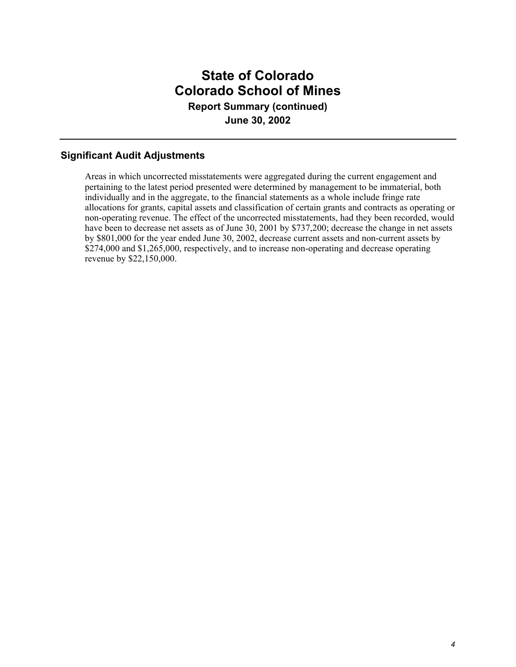## **State of Colorado Colorado School of Mines Report Summary (continued) June 30, 2002**

## **Significant Audit Adjustments**

Areas in which uncorrected misstatements were aggregated during the current engagement and pertaining to the latest period presented were determined by management to be immaterial, both individually and in the aggregate, to the financial statements as a whole include fringe rate allocations for grants, capital assets and classification of certain grants and contracts as operating or non-operating revenue. The effect of the uncorrected misstatements, had they been recorded, would have been to decrease net assets as of June 30, 2001 by \$737,200; decrease the change in net assets by \$801,000 for the year ended June 30, 2002, decrease current assets and non-current assets by \$274,000 and \$1,265,000, respectively, and to increase non-operating and decrease operating revenue by \$22,150,000.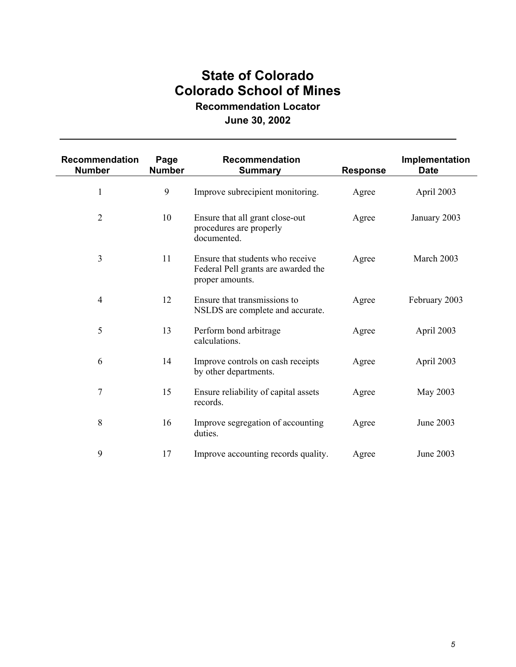# **State of Colorado Colorado School of Mines**

**Recommendation Locator**

## **June 30, 2002**

| <b>Recommendation</b><br><b>Number</b> | Page<br><b>Number</b> | <b>Recommendation</b><br><b>Summary</b>                                                    | <b>Response</b> | Implementation<br><b>Date</b> |
|----------------------------------------|-----------------------|--------------------------------------------------------------------------------------------|-----------------|-------------------------------|
| 1                                      | 9                     | Improve subrecipient monitoring.                                                           | Agree           | April 2003                    |
| $\overline{2}$                         | 10                    | Ensure that all grant close-out<br>procedures are properly<br>documented.                  | Agree           | January 2003                  |
| 3                                      | 11                    | Ensure that students who receive<br>Federal Pell grants are awarded the<br>proper amounts. | Agree           | March 2003                    |
| $\overline{4}$                         | 12                    | Ensure that transmissions to<br>NSLDS are complete and accurate.                           | Agree           | February 2003                 |
| 5                                      | 13                    | Perform bond arbitrage<br>calculations.                                                    | Agree           | April 2003                    |
| 6                                      | 14                    | Improve controls on cash receipts<br>by other departments.                                 | Agree           | April 2003                    |
| 7                                      | 15                    | Ensure reliability of capital assets<br>records.                                           | Agree           | May 2003                      |
| 8                                      | 16                    | Improve segregation of accounting<br>duties.                                               | Agree           | June 2003                     |
| 9                                      | 17                    | Improve accounting records quality.                                                        | Agree           | <b>June 2003</b>              |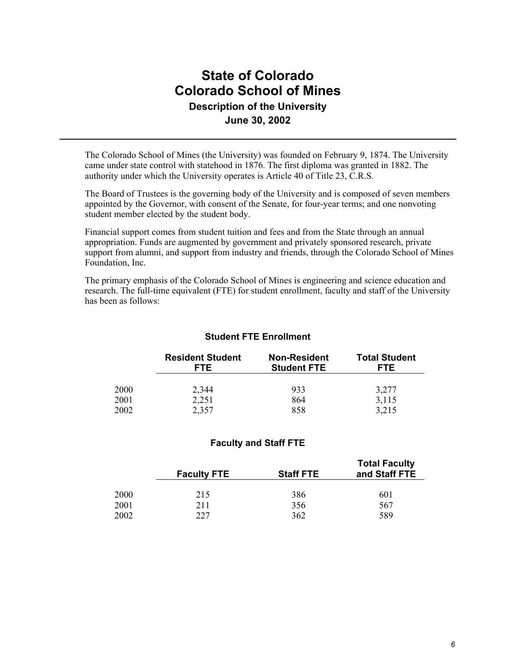## **State of Colorado Colorado School of Mines Description of the University June 30, 2002**

The Colorado School of Mines (the University) was founded on February 9, 1874. The University came under state control with statehood in 1876. The first diploma was granted in 1882. The authority under which the University operates is Article 40 of Title 23, C.R.S.

The Board of Trustees is the governing body of the University and is composed of seven members appointed by the Governor, with consent of the Senate, for four-year terms; and one nonvoting student member elected by the student body.

Financial support comes from student tuition and fees and from the State through an annual appropriation. Funds are augmented by government and privately sponsored research, private support from alumni, and support from industry and friends, through the Colorado School of Mines Foundation, Inc.

The primary emphasis of the Colorado School of Mines is engineering and science education and research. The full-time equivalent (FTE) for student enrollment, faculty and staff of the University has been as follows:

#### **Student FTE Enrollment**

|      | <b>Resident Student</b><br><b>FTE</b> | <b>Non-Resident</b><br><b>Student FTE</b> | <b>Total Student</b><br>FTE. |
|------|---------------------------------------|-------------------------------------------|------------------------------|
| 2000 | 2,344                                 | 933                                       | 3,277                        |
| 2001 | 2,251                                 | 864                                       | 3,115                        |
| 2002 | 2,357                                 | 858                                       | 3,215                        |

#### **Faculty and Staff FTE**

|             | <b>Faculty FTE</b> | <b>Staff FTE</b> | <b>Total Faculty</b><br>and Staff FTE |
|-------------|--------------------|------------------|---------------------------------------|
| <b>2000</b> | 215                | 386              | 601                                   |
| 2001        | 211                | 356              | 567                                   |
| 2002        | 227                | 362              | 589                                   |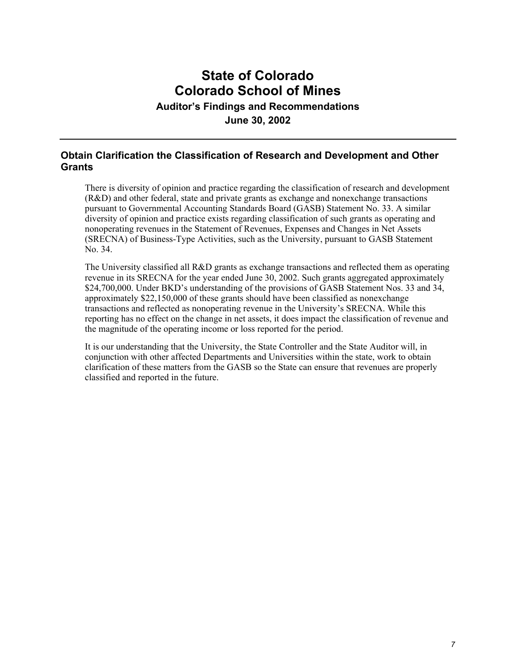# **State of Colorado Colorado School of Mines**

**Auditor's Findings and Recommendations**

**June 30, 2002**

### **Obtain Clarification the Classification of Research and Development and Other Grants**

There is diversity of opinion and practice regarding the classification of research and development (R&D) and other federal, state and private grants as exchange and nonexchange transactions pursuant to Governmental Accounting Standards Board (GASB) Statement No. 33. A similar diversity of opinion and practice exists regarding classification of such grants as operating and nonoperating revenues in the Statement of Revenues, Expenses and Changes in Net Assets (SRECNA) of Business-Type Activities, such as the University, pursuant to GASB Statement No. 34.

The University classified all R&D grants as exchange transactions and reflected them as operating revenue in its SRECNA for the year ended June 30, 2002. Such grants aggregated approximately \$24,700,000. Under BKD's understanding of the provisions of GASB Statement Nos. 33 and 34, approximately \$22,150,000 of these grants should have been classified as nonexchange transactions and reflected as nonoperating revenue in the University's SRECNA. While this reporting has no effect on the change in net assets, it does impact the classification of revenue and the magnitude of the operating income or loss reported for the period.

It is our understanding that the University, the State Controller and the State Auditor will, in conjunction with other affected Departments and Universities within the state, work to obtain clarification of these matters from the GASB so the State can ensure that revenues are properly classified and reported in the future.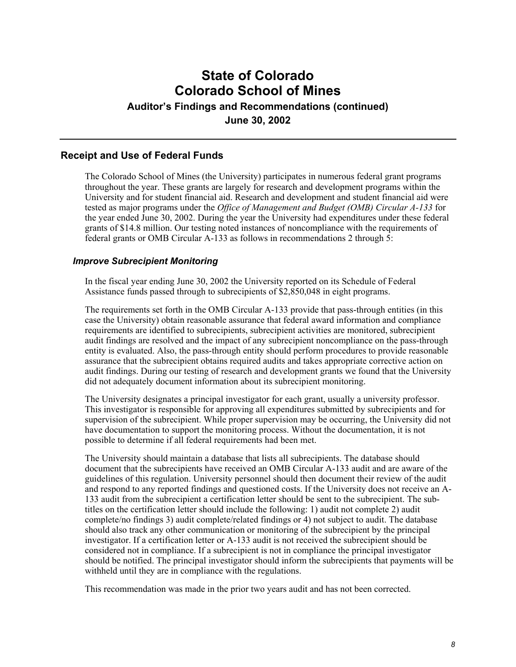## **State of Colorado Colorado School of Mines Auditor's Findings and Recommendations (continued) June 30, 2002**

#### **Receipt and Use of Federal Funds**

The Colorado School of Mines (the University) participates in numerous federal grant programs throughout the year. These grants are largely for research and development programs within the University and for student financial aid. Research and development and student financial aid were tested as major programs under the *Office of Management and Budget (OMB) Circular A-133* for the year ended June 30, 2002. During the year the University had expenditures under these federal grants of \$14.8 million. Our testing noted instances of noncompliance with the requirements of federal grants or OMB Circular A-133 as follows in recommendations 2 through 5:

#### *Improve Subrecipient Monitoring*

In the fiscal year ending June 30, 2002 the University reported on its Schedule of Federal Assistance funds passed through to subrecipients of \$2,850,048 in eight programs.

The requirements set forth in the OMB Circular A-133 provide that pass-through entities (in this case the University) obtain reasonable assurance that federal award information and compliance requirements are identified to subrecipients, subrecipient activities are monitored, subrecipient audit findings are resolved and the impact of any subrecipient noncompliance on the pass-through entity is evaluated. Also, the pass-through entity should perform procedures to provide reasonable assurance that the subrecipient obtains required audits and takes appropriate corrective action on audit findings. During our testing of research and development grants we found that the University did not adequately document information about its subrecipient monitoring.

The University designates a principal investigator for each grant, usually a university professor. This investigator is responsible for approving all expenditures submitted by subrecipients and for supervision of the subrecipient. While proper supervision may be occurring, the University did not have documentation to support the monitoring process. Without the documentation, it is not possible to determine if all federal requirements had been met.

The University should maintain a database that lists all subrecipients. The database should document that the subrecipients have received an OMB Circular A-133 audit and are aware of the guidelines of this regulation. University personnel should then document their review of the audit and respond to any reported findings and questioned costs. If the University does not receive an A-133 audit from the subrecipient a certification letter should be sent to the subrecipient. The subtitles on the certification letter should include the following: 1) audit not complete 2) audit complete/no findings 3) audit complete/related findings or 4) not subject to audit. The database should also track any other communication or monitoring of the subrecipient by the principal investigator. If a certification letter or A-133 audit is not received the subrecipient should be considered not in compliance. If a subrecipient is not in compliance the principal investigator should be notified. The principal investigator should inform the subrecipients that payments will be withheld until they are in compliance with the regulations.

This recommendation was made in the prior two years audit and has not been corrected.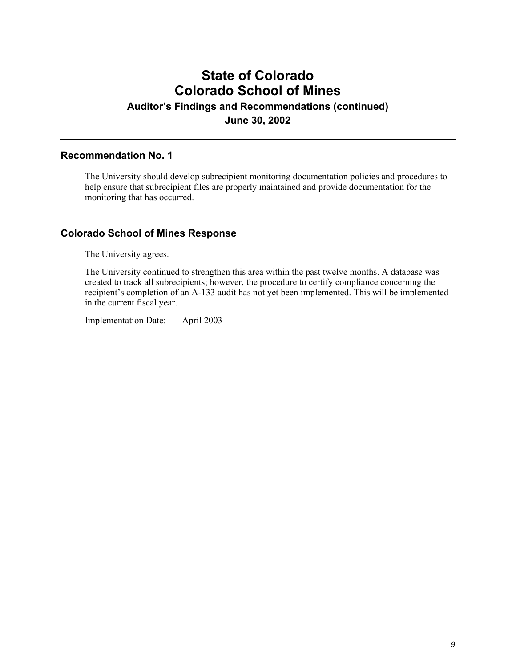# **State of Colorado Colorado School of Mines**

**Auditor's Findings and Recommendations (continued)**

**June 30, 2002**

#### **Recommendation No. 1**

The University should develop subrecipient monitoring documentation policies and procedures to help ensure that subrecipient files are properly maintained and provide documentation for the monitoring that has occurred.

### **Colorado School of Mines Response**

The University agrees.

The University continued to strengthen this area within the past twelve months. A database was created to track all subrecipients; however, the procedure to certify compliance concerning the recipient's completion of an A-133 audit has not yet been implemented. This will be implemented in the current fiscal year.

Implementation Date: April 2003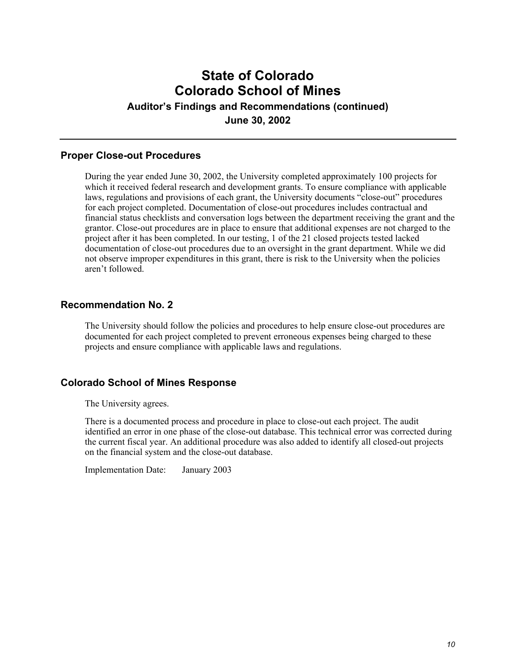## **State of Colorado Colorado School of Mines Auditor's Findings and Recommendations (continued)**

**June 30, 2002**

### **Proper Close-out Procedures**

During the year ended June 30, 2002, the University completed approximately 100 projects for which it received federal research and development grants. To ensure compliance with applicable laws, regulations and provisions of each grant, the University documents "close-out" procedures for each project completed. Documentation of close-out procedures includes contractual and financial status checklists and conversation logs between the department receiving the grant and the grantor. Close-out procedures are in place to ensure that additional expenses are not charged to the project after it has been completed. In our testing, 1 of the 21 closed projects tested lacked documentation of close-out procedures due to an oversight in the grant department. While we did not observe improper expenditures in this grant, there is risk to the University when the policies aren't followed.

### **Recommendation No. 2**

The University should follow the policies and procedures to help ensure close-out procedures are documented for each project completed to prevent erroneous expenses being charged to these projects and ensure compliance with applicable laws and regulations.

#### **Colorado School of Mines Response**

The University agrees.

There is a documented process and procedure in place to close-out each project. The audit identified an error in one phase of the close-out database. This technical error was corrected during the current fiscal year. An additional procedure was also added to identify all closed-out projects on the financial system and the close-out database.

Implementation Date: January 2003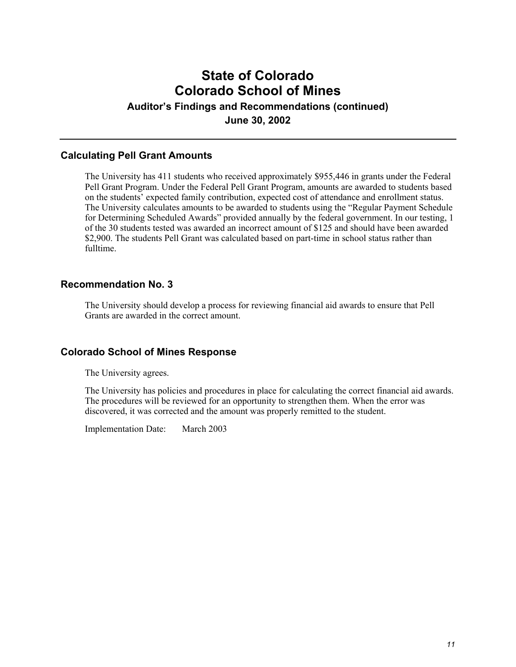## **State of Colorado Colorado School of Mines Auditor's Findings and Recommendations (continued)**

**June 30, 2002**

### **Calculating Pell Grant Amounts**

The University has 411 students who received approximately \$955,446 in grants under the Federal Pell Grant Program. Under the Federal Pell Grant Program, amounts are awarded to students based on the students' expected family contribution, expected cost of attendance and enrollment status. The University calculates amounts to be awarded to students using the "Regular Payment Schedule for Determining Scheduled Awards" provided annually by the federal government. In our testing, 1 of the 30 students tested was awarded an incorrect amount of \$125 and should have been awarded \$2,900. The students Pell Grant was calculated based on part-time in school status rather than fulltime.

### **Recommendation No. 3**

The University should develop a process for reviewing financial aid awards to ensure that Pell Grants are awarded in the correct amount.

### **Colorado School of Mines Response**

The University agrees.

The University has policies and procedures in place for calculating the correct financial aid awards. The procedures will be reviewed for an opportunity to strengthen them. When the error was discovered, it was corrected and the amount was properly remitted to the student.

Implementation Date: March 2003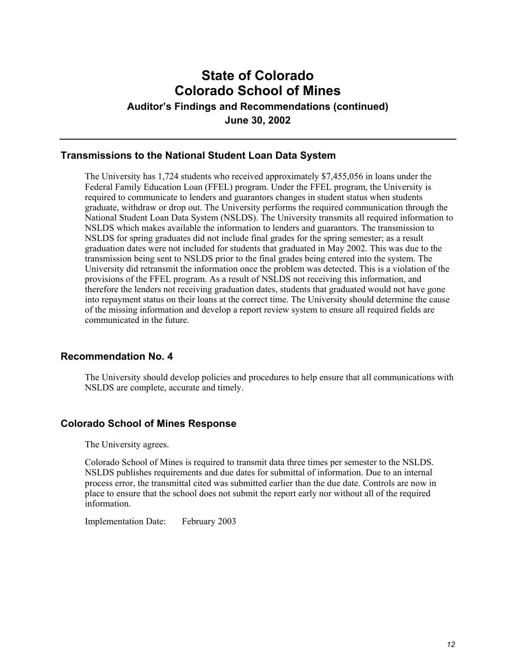## **State of Colorado Colorado School of Mines**

**Auditor's Findings and Recommendations (continued)**

**June 30, 2002**

### **Transmissions to the National Student Loan Data System**

The University has 1,724 students who received approximately \$7,455,056 in loans under the Federal Family Education Loan (FFEL) program. Under the FFEL program, the University is required to communicate to lenders and guarantors changes in student status when students graduate, withdraw or drop out. The University performs the required communication through the National Student Loan Data System (NSLDS). The University transmits all required information to NSLDS which makes available the information to lenders and guarantors. The transmission to NSLDS for spring graduates did not include final grades for the spring semester; as a result graduation dates were not included for students that graduated in May 2002. This was due to the transmission being sent to NSLDS prior to the final grades being entered into the system. The University did retransmit the information once the problem was detected. This is a violation of the provisions of the FFEL program. As a result of NSLDS not receiving this information, and therefore the lenders not receiving graduation dates, students that graduated would not have gone into repayment status on their loans at the correct time. The University should determine the cause of the missing information and develop a report review system to ensure all required fields are communicated in the future.

#### **Recommendation No. 4**

The University should develop policies and procedures to help ensure that all communications with NSLDS are complete, accurate and timely.

### **Colorado School of Mines Response**

The University agrees.

Colorado School of Mines is required to transmit data three times per semester to the NSLDS. NSLDS publishes requirements and due dates for submittal of information. Due to an internal process error, the transmittal cited was submitted earlier than the due date. Controls are now in place to ensure that the school does not submit the report early nor without all of the required information.

Implementation Date: February 2003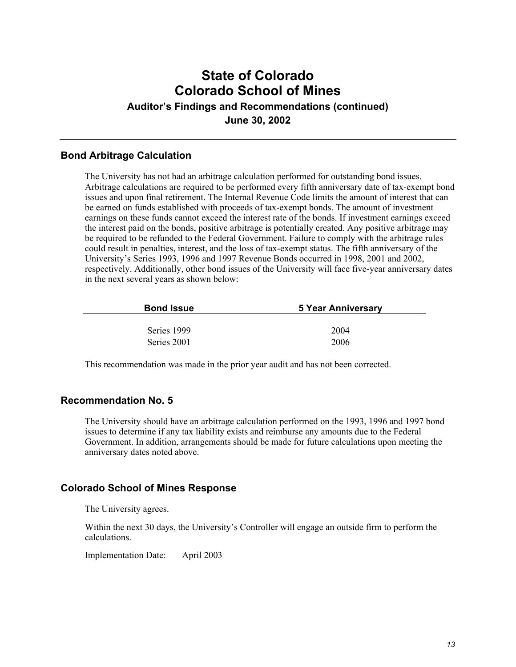## **State of Colorado Colorado School of Mines Auditor's Findings and Recommendations (continued) June 30, 2002**

#### **Bond Arbitrage Calculation**

The University has not had an arbitrage calculation performed for outstanding bond issues. Arbitrage calculations are required to be performed every fifth anniversary date of tax-exempt bond issues and upon final retirement. The Internal Revenue Code limits the amount of interest that can be earned on funds established with proceeds of tax-exempt bonds. The amount of investment earnings on these funds cannot exceed the interest rate of the bonds. If investment earnings exceed the interest paid on the bonds, positive arbitrage is potentially created. Any positive arbitrage may be required to be refunded to the Federal Government. Failure to comply with the arbitrage rules could result in penalties, interest, and the loss of tax-exempt status. The fifth anniversary of the University's Series 1993, 1996 and 1997 Revenue Bonds occurred in 1998, 2001 and 2002, respectively. Additionally, other bond issues of the University will face five-year anniversary dates in the next several years as shown below:

| <b>Bond Issue</b> | 5 Year Anniversary |  |  |  |
|-------------------|--------------------|--|--|--|
|                   |                    |  |  |  |
| Series 1999       | 2004               |  |  |  |
| Series 2001       | 2006               |  |  |  |

This recommendation was made in the prior year audit and has not been corrected.

#### **Recommendation No. 5**

The University should have an arbitrage calculation performed on the 1993, 1996 and 1997 bond issues to determine if any tax liability exists and reimburse any amounts due to the Federal Government. In addition, arrangements should be made for future calculations upon meeting the anniversary dates noted above.

#### **Colorado School of Mines Response**

The University agrees.

Within the next 30 days, the University's Controller will engage an outside firm to perform the calculations.

Implementation Date: April 2003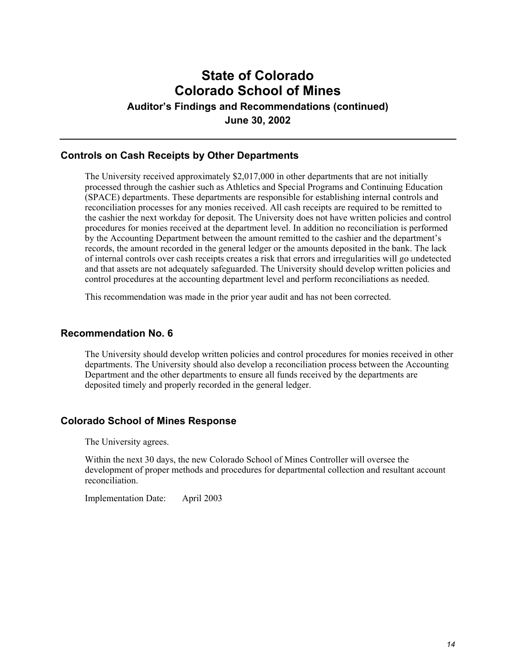# **State of Colorado Colorado School of Mines**

**Auditor's Findings and Recommendations (continued)**

**June 30, 2002**

### **Controls on Cash Receipts by Other Departments**

The University received approximately \$2,017,000 in other departments that are not initially processed through the cashier such as Athletics and Special Programs and Continuing Education (SPACE) departments. These departments are responsible for establishing internal controls and reconciliation processes for any monies received. All cash receipts are required to be remitted to the cashier the next workday for deposit. The University does not have written policies and control procedures for monies received at the department level. In addition no reconciliation is performed by the Accounting Department between the amount remitted to the cashier and the department's records, the amount recorded in the general ledger or the amounts deposited in the bank. The lack of internal controls over cash receipts creates a risk that errors and irregularities will go undetected and that assets are not adequately safeguarded. The University should develop written policies and control procedures at the accounting department level and perform reconciliations as needed.

This recommendation was made in the prior year audit and has not been corrected.

### **Recommendation No. 6**

The University should develop written policies and control procedures for monies received in other departments. The University should also develop a reconciliation process between the Accounting Department and the other departments to ensure all funds received by the departments are deposited timely and properly recorded in the general ledger.

#### **Colorado School of Mines Response**

The University agrees.

Within the next 30 days, the new Colorado School of Mines Controller will oversee the development of proper methods and procedures for departmental collection and resultant account reconciliation.

Implementation Date: April 2003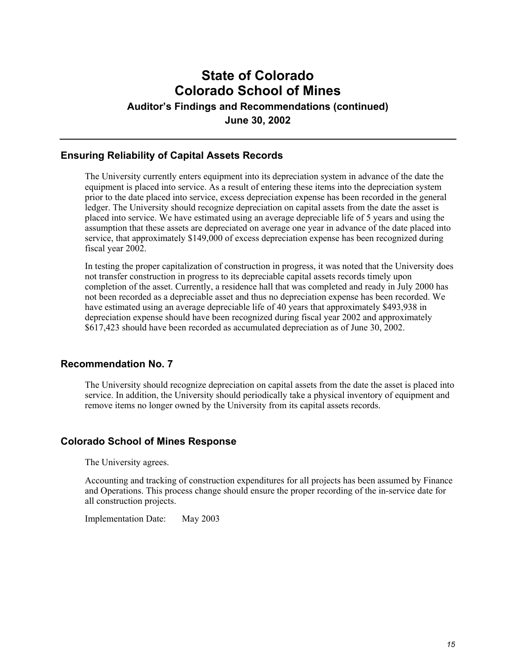# **State of Colorado Colorado School of Mines**

**Auditor's Findings and Recommendations (continued)**

**June 30, 2002**

### **Ensuring Reliability of Capital Assets Records**

The University currently enters equipment into its depreciation system in advance of the date the equipment is placed into service. As a result of entering these items into the depreciation system prior to the date placed into service, excess depreciation expense has been recorded in the general ledger. The University should recognize depreciation on capital assets from the date the asset is placed into service. We have estimated using an average depreciable life of 5 years and using the assumption that these assets are depreciated on average one year in advance of the date placed into service, that approximately \$149,000 of excess depreciation expense has been recognized during fiscal year 2002.

In testing the proper capitalization of construction in progress, it was noted that the University does not transfer construction in progress to its depreciable capital assets records timely upon completion of the asset. Currently, a residence hall that was completed and ready in July 2000 has not been recorded as a depreciable asset and thus no depreciation expense has been recorded. We have estimated using an average depreciable life of 40 years that approximately \$493,938 in depreciation expense should have been recognized during fiscal year 2002 and approximately \$617,423 should have been recorded as accumulated depreciation as of June 30, 2002.

### **Recommendation No. 7**

The University should recognize depreciation on capital assets from the date the asset is placed into service. In addition, the University should periodically take a physical inventory of equipment and remove items no longer owned by the University from its capital assets records.

### **Colorado School of Mines Response**

The University agrees.

Accounting and tracking of construction expenditures for all projects has been assumed by Finance and Operations. This process change should ensure the proper recording of the in-service date for all construction projects.

Implementation Date: May 2003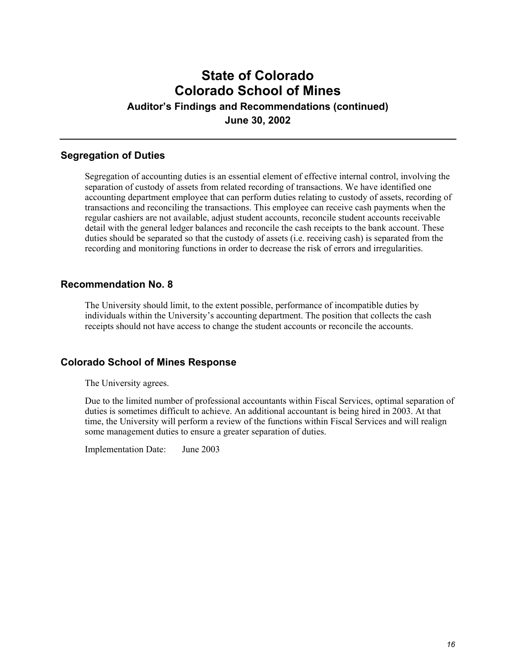## **State of Colorado Colorado School of Mines Auditor's Findings and Recommendations (continued) June 30, 2002**

#### **Segregation of Duties**

Segregation of accounting duties is an essential element of effective internal control, involving the separation of custody of assets from related recording of transactions. We have identified one accounting department employee that can perform duties relating to custody of assets, recording of transactions and reconciling the transactions. This employee can receive cash payments when the regular cashiers are not available, adjust student accounts, reconcile student accounts receivable detail with the general ledger balances and reconcile the cash receipts to the bank account. These duties should be separated so that the custody of assets (i.e. receiving cash) is separated from the recording and monitoring functions in order to decrease the risk of errors and irregularities.

#### **Recommendation No. 8**

The University should limit, to the extent possible, performance of incompatible duties by individuals within the University's accounting department. The position that collects the cash receipts should not have access to change the student accounts or reconcile the accounts.

#### **Colorado School of Mines Response**

The University agrees.

Due to the limited number of professional accountants within Fiscal Services, optimal separation of duties is sometimes difficult to achieve. An additional accountant is being hired in 2003. At that time, the University will perform a review of the functions within Fiscal Services and will realign some management duties to ensure a greater separation of duties.

Implementation Date: June 2003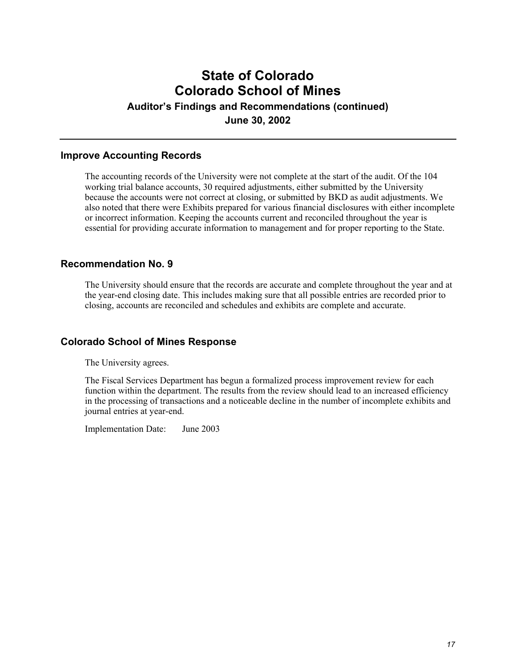# **State of Colorado Colorado School of Mines**

**Auditor's Findings and Recommendations (continued)**

**June 30, 2002**

### **Improve Accounting Records**

The accounting records of the University were not complete at the start of the audit. Of the 104 working trial balance accounts, 30 required adjustments, either submitted by the University because the accounts were not correct at closing, or submitted by BKD as audit adjustments. We also noted that there were Exhibits prepared for various financial disclosures with either incomplete or incorrect information. Keeping the accounts current and reconciled throughout the year is essential for providing accurate information to management and for proper reporting to the State.

### **Recommendation No. 9**

The University should ensure that the records are accurate and complete throughout the year and at the year-end closing date. This includes making sure that all possible entries are recorded prior to closing, accounts are reconciled and schedules and exhibits are complete and accurate.

#### **Colorado School of Mines Response**

The University agrees.

The Fiscal Services Department has begun a formalized process improvement review for each function within the department. The results from the review should lead to an increased efficiency in the processing of transactions and a noticeable decline in the number of incomplete exhibits and journal entries at year-end.

Implementation Date: June 2003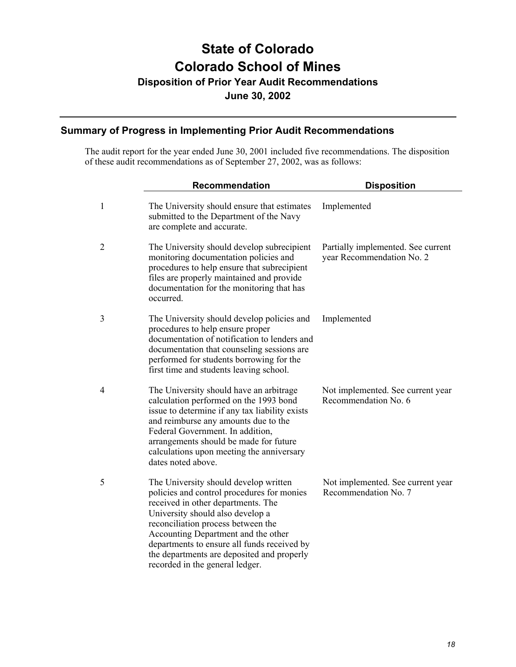# **State of Colorado Colorado School of Mines**

**Disposition of Prior Year Audit Recommendations**

**June 30, 2002**

### **Summary of Progress in Implementing Prior Audit Recommendations**

The audit report for the year ended June 30, 2001 included five recommendations. The disposition of these audit recommendations as of September 27, 2002, was as follows:

|              | <b>Recommendation</b>                                                                                                                                                                                                                                                                                                                                                      | <b>Disposition</b>                                              |
|--------------|----------------------------------------------------------------------------------------------------------------------------------------------------------------------------------------------------------------------------------------------------------------------------------------------------------------------------------------------------------------------------|-----------------------------------------------------------------|
| $\mathbf{1}$ | The University should ensure that estimates<br>submitted to the Department of the Navy<br>are complete and accurate.                                                                                                                                                                                                                                                       | Implemented                                                     |
| 2            | The University should develop subrecipient<br>monitoring documentation policies and<br>procedures to help ensure that subrecipient<br>files are properly maintained and provide<br>documentation for the monitoring that has<br>occurred.                                                                                                                                  | Partially implemented. See current<br>year Recommendation No. 2 |
| 3            | The University should develop policies and<br>procedures to help ensure proper<br>documentation of notification to lenders and<br>documentation that counseling sessions are<br>performed for students borrowing for the<br>first time and students leaving school.                                                                                                        | Implemented                                                     |
| 4            | The University should have an arbitrage<br>calculation performed on the 1993 bond<br>issue to determine if any tax liability exists<br>and reimburse any amounts due to the<br>Federal Government. In addition,<br>arrangements should be made for future<br>calculations upon meeting the anniversary<br>dates noted above.                                               | Not implemented. See current year<br>Recommendation No. 6       |
| 5            | The University should develop written<br>policies and control procedures for monies<br>received in other departments. The<br>University should also develop a<br>reconciliation process between the<br>Accounting Department and the other<br>departments to ensure all funds received by<br>the departments are deposited and properly<br>recorded in the general ledger. | Not implemented. See current year<br>Recommendation No. 7       |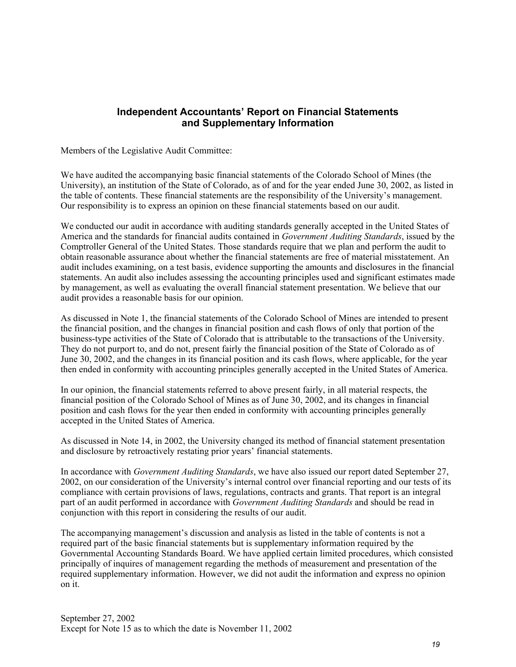### **Independent Accountants' Report on Financial Statements and Supplementary Information**

Members of the Legislative Audit Committee:

We have audited the accompanying basic financial statements of the Colorado School of Mines (the University), an institution of the State of Colorado, as of and for the year ended June 30, 2002, as listed in the table of contents. These financial statements are the responsibility of the University's management. Our responsibility is to express an opinion on these financial statements based on our audit.

We conducted our audit in accordance with auditing standards generally accepted in the United States of America and the standards for financial audits contained in *Government Auditing Standards*, issued by the Comptroller General of the United States. Those standards require that we plan and perform the audit to obtain reasonable assurance about whether the financial statements are free of material misstatement. An audit includes examining, on a test basis, evidence supporting the amounts and disclosures in the financial statements. An audit also includes assessing the accounting principles used and significant estimates made by management, as well as evaluating the overall financial statement presentation. We believe that our audit provides a reasonable basis for our opinion.

As discussed in Note 1, the financial statements of the Colorado School of Mines are intended to present the financial position, and the changes in financial position and cash flows of only that portion of the business-type activities of the State of Colorado that is attributable to the transactions of the University. They do not purport to, and do not, present fairly the financial position of the State of Colorado as of June 30, 2002, and the changes in its financial position and its cash flows, where applicable, for the year then ended in conformity with accounting principles generally accepted in the United States of America.

In our opinion, the financial statements referred to above present fairly, in all material respects, the financial position of the Colorado School of Mines as of June 30, 2002, and its changes in financial position and cash flows for the year then ended in conformity with accounting principles generally accepted in the United States of America.

As discussed in Note 14, in 2002, the University changed its method of financial statement presentation and disclosure by retroactively restating prior years' financial statements.

In accordance with *Government Auditing Standards*, we have also issued our report dated September 27, 2002, on our consideration of the University's internal control over financial reporting and our tests of its compliance with certain provisions of laws, regulations, contracts and grants. That report is an integral part of an audit performed in accordance with *Government Auditing Standards* and should be read in conjunction with this report in considering the results of our audit.

The accompanying management's discussion and analysis as listed in the table of contents is not a required part of the basic financial statements but is supplementary information required by the Governmental Accounting Standards Board. We have applied certain limited procedures, which consisted principally of inquires of management regarding the methods of measurement and presentation of the required supplementary information. However, we did not audit the information and express no opinion on it.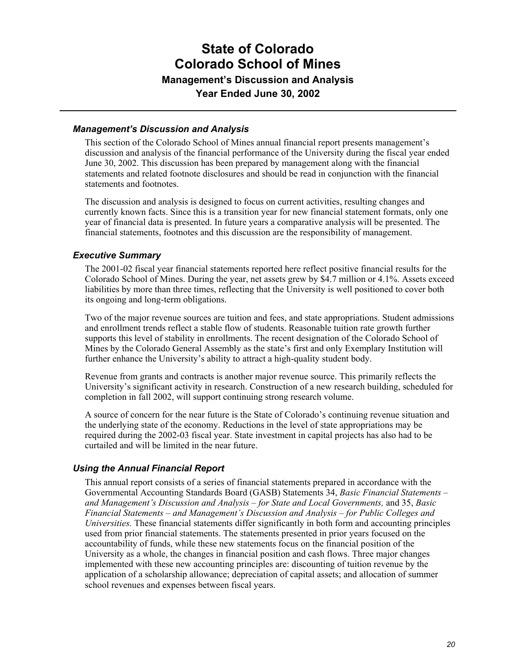#### *Management's Discussion and Analysis*

This section of the Colorado School of Mines annual financial report presents management's discussion and analysis of the financial performance of the University during the fiscal year ended June 30, 2002. This discussion has been prepared by management along with the financial statements and related footnote disclosures and should be read in conjunction with the financial statements and footnotes.

The discussion and analysis is designed to focus on current activities, resulting changes and currently known facts. Since this is a transition year for new financial statement formats, only one year of financial data is presented. In future years a comparative analysis will be presented. The financial statements, footnotes and this discussion are the responsibility of management.

#### *Executive Summary*

The 2001-02 fiscal year financial statements reported here reflect positive financial results for the Colorado School of Mines. During the year, net assets grew by \$4.7 million or 4.1%. Assets exceed liabilities by more than three times, reflecting that the University is well positioned to cover both its ongoing and long-term obligations.

Two of the major revenue sources are tuition and fees, and state appropriations. Student admissions and enrollment trends reflect a stable flow of students. Reasonable tuition rate growth further supports this level of stability in enrollments. The recent designation of the Colorado School of Mines by the Colorado General Assembly as the state's first and only Exemplary Institution will further enhance the University's ability to attract a high-quality student body.

Revenue from grants and contracts is another major revenue source. This primarily reflects the University's significant activity in research. Construction of a new research building, scheduled for completion in fall 2002, will support continuing strong research volume.

A source of concern for the near future is the State of Colorado's continuing revenue situation and the underlying state of the economy. Reductions in the level of state appropriations may be required during the 2002-03 fiscal year. State investment in capital projects has also had to be curtailed and will be limited in the near future.

#### *Using the Annual Financial Report*

This annual report consists of a series of financial statements prepared in accordance with the Governmental Accounting Standards Board (GASB) Statements 34, *Basic Financial Statements – and Management's Discussion and Analysis – for State and Local Governments,* and 35, *Basic Financial Statements – and Management's Discussion and Analysis – for Public Colleges and Universities.* These financial statements differ significantly in both form and accounting principles used from prior financial statements. The statements presented in prior years focused on the accountability of funds, while these new statements focus on the financial position of the University as a whole, the changes in financial position and cash flows. Three major changes implemented with these new accounting principles are: discounting of tuition revenue by the application of a scholarship allowance; depreciation of capital assets; and allocation of summer school revenues and expenses between fiscal years.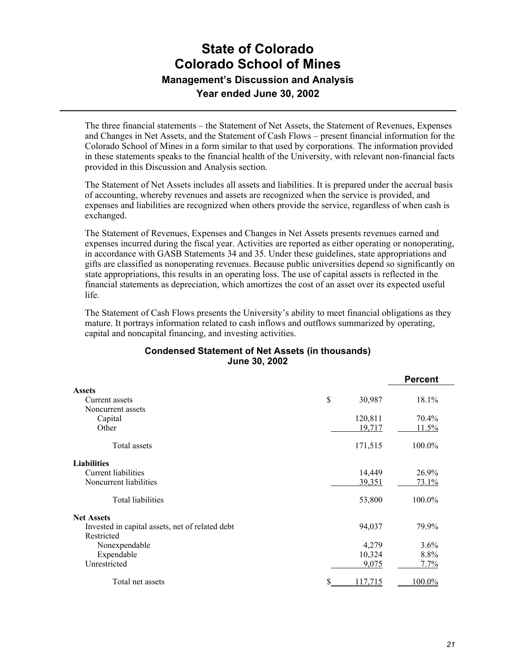The three financial statements – the Statement of Net Assets, the Statement of Revenues, Expenses and Changes in Net Assets, and the Statement of Cash Flows – present financial information for the Colorado School of Mines in a form similar to that used by corporations. The information provided in these statements speaks to the financial health of the University, with relevant non-financial facts provided in this Discussion and Analysis section.

The Statement of Net Assets includes all assets and liabilities. It is prepared under the accrual basis of accounting, whereby revenues and assets are recognized when the service is provided, and expenses and liabilities are recognized when others provide the service, regardless of when cash is exchanged.

The Statement of Revenues, Expenses and Changes in Net Assets presents revenues earned and expenses incurred during the fiscal year. Activities are reported as either operating or nonoperating, in accordance with GASB Statements 34 and 35. Under these guidelines, state appropriations and gifts are classified as nonoperating revenues. Because public universities depend so significantly on state appropriations, this results in an operating loss. The use of capital assets is reflected in the financial statements as depreciation, which amortizes the cost of an asset over its expected useful life.

The Statement of Cash Flows presents the University's ability to meet financial obligations as they mature. It portrays information related to cash inflows and outflows summarized by operating, capital and noncapital financing, and investing activities.

#### **Condensed Statement of Net Assets (in thousands) June 30, 2002**

|                                                 |                      | <b>Percent</b> |
|-------------------------------------------------|----------------------|----------------|
| <b>Assets</b>                                   |                      |                |
| Current assets                                  | \$<br>30,987         | 18.1%          |
| Noncurrent assets                               |                      |                |
| Capital                                         | 120,811              | 70.4%          |
| Other                                           | 19,717               | 11.5%          |
| Total assets                                    | 171,515              | 100.0%         |
| <b>Liabilities</b>                              |                      |                |
| Current liabilities                             | 14,449               | 26.9%          |
| Noncurrent liabilities                          | 39,351               | 73.1%          |
| Total liabilities                               | 53,800               | 100.0%         |
| <b>Net Assets</b>                               |                      |                |
| Invested in capital assets, net of related debt | 94,037               | 79.9%          |
| Restricted                                      |                      |                |
| Nonexpendable                                   | 4,279                | 3.6%           |
| Expendable                                      | 10,324               | 8.8%           |
| Unrestricted                                    | 9,075                | 7.7%           |
| Total net assets                                | \$<br><u>117.715</u> | 100.0%         |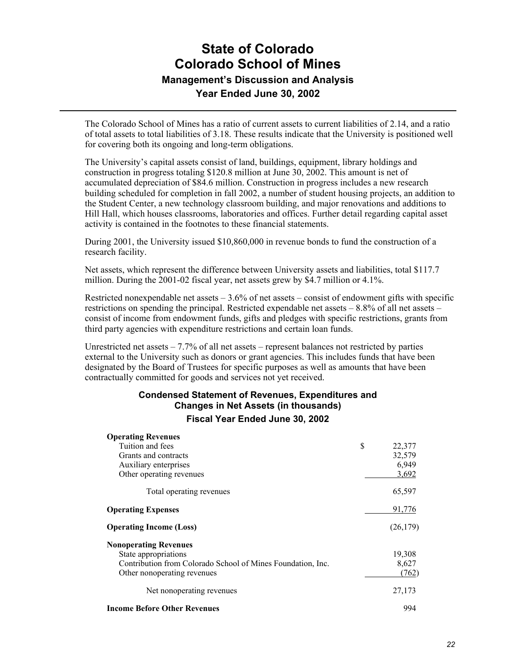The Colorado School of Mines has a ratio of current assets to current liabilities of 2.14, and a ratio of total assets to total liabilities of 3.18. These results indicate that the University is positioned well for covering both its ongoing and long-term obligations.

The University's capital assets consist of land, buildings, equipment, library holdings and construction in progress totaling \$120.8 million at June 30, 2002. This amount is net of accumulated depreciation of \$84.6 million. Construction in progress includes a new research building scheduled for completion in fall 2002, a number of student housing projects, an addition to the Student Center, a new technology classroom building, and major renovations and additions to Hill Hall, which houses classrooms, laboratories and offices. Further detail regarding capital asset activity is contained in the footnotes to these financial statements.

During 2001, the University issued \$10,860,000 in revenue bonds to fund the construction of a research facility.

Net assets, which represent the difference between University assets and liabilities, total \$117.7 million. During the 2001-02 fiscal year, net assets grew by \$4.7 million or 4.1%.

Restricted nonexpendable net assets  $-3.6\%$  of net assets – consist of endowment gifts with specific restrictions on spending the principal. Restricted expendable net assets – 8.8% of all net assets – consist of income from endowment funds, gifts and pledges with specific restrictions, grants from third party agencies with expenditure restrictions and certain loan funds.

Unrestricted net assets  $-7.7\%$  of all net assets – represent balances not restricted by parties external to the University such as donors or grant agencies. This includes funds that have been designated by the Board of Trustees for specific purposes as well as amounts that have been contractually committed for goods and services not yet received.

### **Condensed Statement of Revenues, Expenditures and Changes in Net Assets (in thousands)**

**Fiscal Year Ended June 30, 2002**

| <b>Operating Revenues</b>                                   |              |
|-------------------------------------------------------------|--------------|
| Tuition and fees                                            | \$<br>22,377 |
| Grants and contracts                                        | 32,579       |
| Auxiliary enterprises                                       | 6,949        |
| Other operating revenues                                    | 3,692        |
| Total operating revenues                                    | 65,597       |
| <b>Operating Expenses</b>                                   | 91,776       |
| <b>Operating Income (Loss)</b>                              | (26, 179)    |
| <b>Nonoperating Revenues</b>                                |              |
| State appropriations                                        | 19,308       |
| Contribution from Colorado School of Mines Foundation, Inc. | 8,627        |
| Other nonoperating revenues                                 | (762)        |
| Net nonoperating revenues                                   | 27,173       |
| <b>Income Before Other Revenues</b>                         | 994          |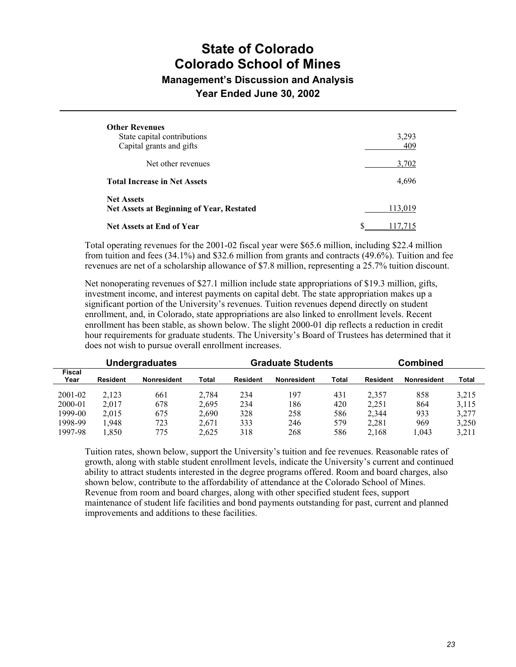## **State of Colorado Colorado School of Mines**

### **Management's Discussion and Analysis**

**Year Ended June 30, 2002**

| <b>Other Revenues</b><br>State capital contributions<br>Capital grants and gifts | 3,293<br>409 |
|----------------------------------------------------------------------------------|--------------|
| Net other revenues                                                               | 3,702        |
| <b>Total Increase in Net Assets</b>                                              | 4,696        |
| <b>Net Assets</b><br><b>Net Assets at Beginning of Year, Restated</b>            | 113.019      |
| Net Assets at End of Year                                                        |              |

Total operating revenues for the 2001-02 fiscal year were \$65.6 million, including \$22.4 million from tuition and fees (34.1%) and \$32.6 million from grants and contracts (49.6%). Tuition and fee revenues are net of a scholarship allowance of \$7.8 million, representing a 25.7% tuition discount.

Net nonoperating revenues of \$27.1 million include state appropriations of \$19.3 million, gifts, investment income, and interest payments on capital debt. The state appropriation makes up a significant portion of the University's revenues. Tuition revenues depend directly on student enrollment, and, in Colorado, state appropriations are also linked to enrollment levels. Recent enrollment has been stable, as shown below. The slight 2000-01 dip reflects a reduction in credit hour requirements for graduate students. The University's Board of Trustees has determined that it does not wish to pursue overall enrollment increases.

| <b>Undergraduates</b> |          |                    | Graduate Students |                 |                    | <b>Combined</b> |                 |                    |       |
|-----------------------|----------|--------------------|-------------------|-----------------|--------------------|-----------------|-----------------|--------------------|-------|
| <b>Fiscal</b><br>Year | Resident | <b>Nonresident</b> | Total             | <b>Resident</b> | <b>Nonresident</b> | Total           | <b>Resident</b> | <b>Nonresident</b> | Total |
| 2001-02               | 2.123    | 661                | 2.784             | 234             | 197                | 431             | 2.357           | 858                | 3.215 |
| 2000-01               | 2.017    | 678                | 2,695             | 234             | 186                | 420             | 2,251           | 864                | 3,115 |
| 1999-00               | 2.015    | 675                | 2,690             | 328             | 258                | 586             | 2,344           | 933                | 3,277 |
| 1998-99               | 1.948    | 723                | 2.671             | 333             | 246                | 579             | 2,281           | 969                | 3,250 |
| 1997-98               | 1.850    | 775                | 2.625             | 318             | 268                | 586             | 2.168           | .043               | 3.211 |

Tuition rates, shown below, support the University's tuition and fee revenues. Reasonable rates of growth, along with stable student enrollment levels, indicate the University's current and continued ability to attract students interested in the degree programs offered. Room and board charges, also shown below, contribute to the affordability of attendance at the Colorado School of Mines. Revenue from room and board charges, along with other specified student fees, support maintenance of student life facilities and bond payments outstanding for past, current and planned improvements and additions to these facilities.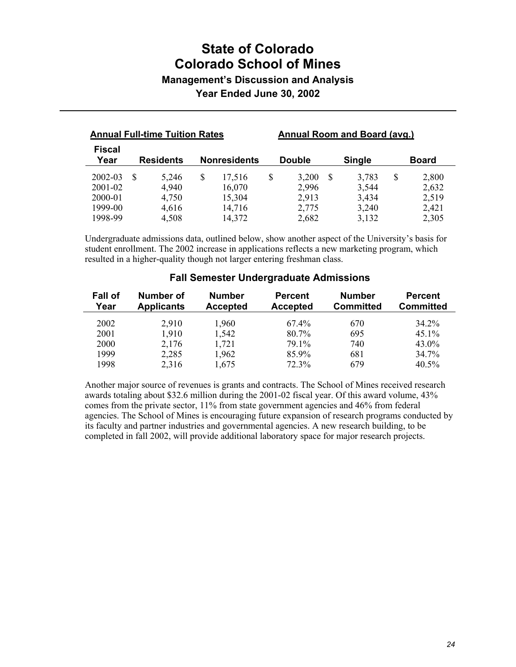## **State of Colorado Colorado School of Mines Management's Discussion and Analysis**

**Year Ended June 30, 2002**

| <b>Annual Full-time Tuition Rates</b> |  |                  | Annual Room and Board (avg.) |                     |                |   |                |    |                |
|---------------------------------------|--|------------------|------------------------------|---------------------|----------------|---|----------------|----|----------------|
| <b>Fiscal</b><br>Year                 |  | <b>Residents</b> |                              | <b>Nonresidents</b> | <b>Double</b>  |   | <b>Single</b>  |    | <b>Board</b>   |
| 2002-03                               |  | 5,246            | <sup>\$</sup>                | 17,516              | \$<br>3,200    | S | 3,783          | \$ | 2,800          |
| 2001-02<br>2000-01                    |  | 4,940<br>4,750   |                              | 16,070<br>15,304    | 2,996<br>2,913 |   | 3,544<br>3,434 |    | 2,632<br>2,519 |
| 1999-00<br>1998-99                    |  | 4,616<br>4,508   |                              | 14,716<br>14,372    | 2,775<br>2,682 |   | 3,240<br>3,132 |    | 2,421<br>2,305 |

Undergraduate admissions data, outlined below, show another aspect of the University's basis for student enrollment. The 2002 increase in applications reflects a new marketing program, which resulted in a higher-quality though not larger entering freshman class.

| Fall of<br>Year | <b>Number of</b><br><b>Applicants</b> | <b>Number</b><br><b>Accepted</b> | <b>Percent</b><br><b>Accepted</b> | <b>Number</b><br><b>Committed</b> | <b>Percent</b><br><b>Committed</b> |
|-----------------|---------------------------------------|----------------------------------|-----------------------------------|-----------------------------------|------------------------------------|
| 2002            | 2,910                                 | 1,960                            | 67.4%                             | 670                               | 34 2 <sup>o</sup> %                |
| 2001            | 1,910                                 | 1,542                            | 80.7%                             | 695                               | $45.1\%$                           |
| 2000            | 2,176                                 | 1,721                            | 79.1%                             | 740                               | 43.0%                              |
| 1999            | 2,285                                 | 1,962                            | 85.9%                             | 681                               | 34.7%                              |
| 1998            | 2,316                                 | 1,675                            | 72.3%                             | 679                               | $40.5\%$                           |

#### **Fall Semester Undergraduate Admissions**

Another major source of revenues is grants and contracts. The School of Mines received research awards totaling about \$32.6 million during the 2001-02 fiscal year. Of this award volume, 43% comes from the private sector, 11% from state government agencies and 46% from federal agencies. The School of Mines is encouraging future expansion of research programs conducted by its faculty and partner industries and governmental agencies. A new research building, to be completed in fall 2002, will provide additional laboratory space for major research projects.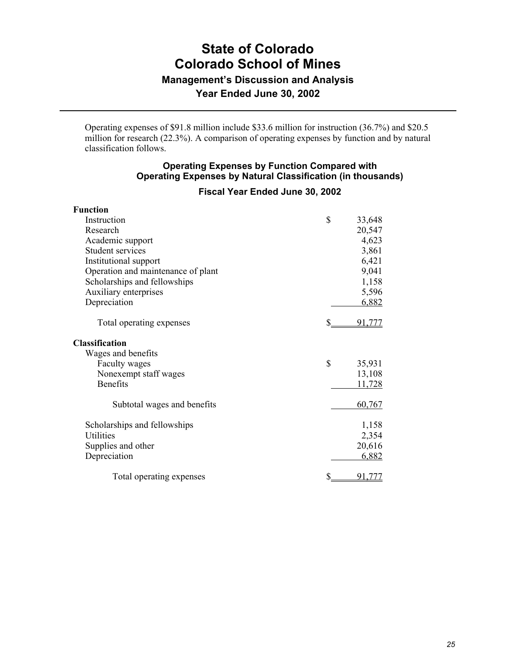Operating expenses of \$91.8 million include \$33.6 million for instruction (36.7%) and \$20.5 million for research (22.3%). A comparison of operating expenses by function and by natural classification follows.

#### **Operating Expenses by Function Compared with Operating Expenses by Natural Classification (in thousands)**

#### **Fiscal Year Ended June 30, 2002**

| <b>Function</b>                    |              |
|------------------------------------|--------------|
| Instruction                        | \$<br>33,648 |
| Research                           | 20,547       |
| Academic support                   | 4,623        |
| Student services                   | 3,861        |
| Institutional support              | 6,421        |
| Operation and maintenance of plant | 9,041        |
| Scholarships and fellowships       | 1,158        |
| Auxiliary enterprises              | 5,596        |
| Depreciation                       | 6,882        |
| Total operating expenses           | S<br>91.777  |
| Classification                     |              |
| Wages and benefits                 |              |
| Faculty wages                      | \$<br>35,931 |
| Nonexempt staff wages              | 13,108       |
| <b>Benefits</b>                    | 11,728       |
| Subtotal wages and benefits        | 60,767       |
| Scholarships and fellowships       | 1,158        |
| <b>Utilities</b>                   | 2,354        |
| Supplies and other                 | 20,616       |
| Depreciation                       | 6,882        |
| Total operating expenses           | 91.777       |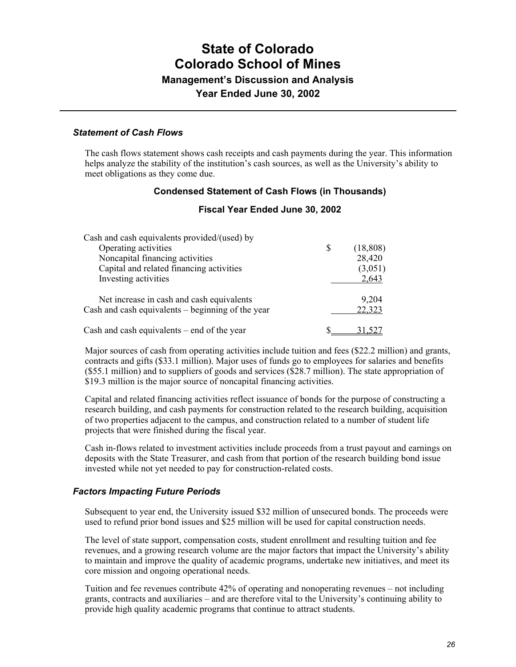#### *Statement of Cash Flows*

The cash flows statement shows cash receipts and cash payments during the year. This information helps analyze the stability of the institution's cash sources, as well as the University's ability to meet obligations as they come due.

#### **Condensed Statement of Cash Flows (in Thousands)**

#### **Fiscal Year Ended June 30, 2002**

| \$<br>(18, 808) |
|-----------------|
| 28,420          |
| (3,051)         |
| 2,643           |
| 9,204           |
| 22,323          |
| 31,527          |
|                 |

Major sources of cash from operating activities include tuition and fees (\$22.2 million) and grants, contracts and gifts (\$33.1 million). Major uses of funds go to employees for salaries and benefits (\$55.1 million) and to suppliers of goods and services (\$28.7 million). The state appropriation of \$19.3 million is the major source of noncapital financing activities.

Capital and related financing activities reflect issuance of bonds for the purpose of constructing a research building, and cash payments for construction related to the research building, acquisition of two properties adjacent to the campus, and construction related to a number of student life projects that were finished during the fiscal year.

Cash in-flows related to investment activities include proceeds from a trust payout and earnings on deposits with the State Treasurer, and cash from that portion of the research building bond issue invested while not yet needed to pay for construction-related costs.

#### *Factors Impacting Future Periods*

Subsequent to year end, the University issued \$32 million of unsecured bonds. The proceeds were used to refund prior bond issues and \$25 million will be used for capital construction needs.

The level of state support, compensation costs, student enrollment and resulting tuition and fee revenues, and a growing research volume are the major factors that impact the University's ability to maintain and improve the quality of academic programs, undertake new initiatives, and meet its core mission and ongoing operational needs.

Tuition and fee revenues contribute 42% of operating and nonoperating revenues – not including grants, contracts and auxiliaries – and are therefore vital to the University's continuing ability to provide high quality academic programs that continue to attract students.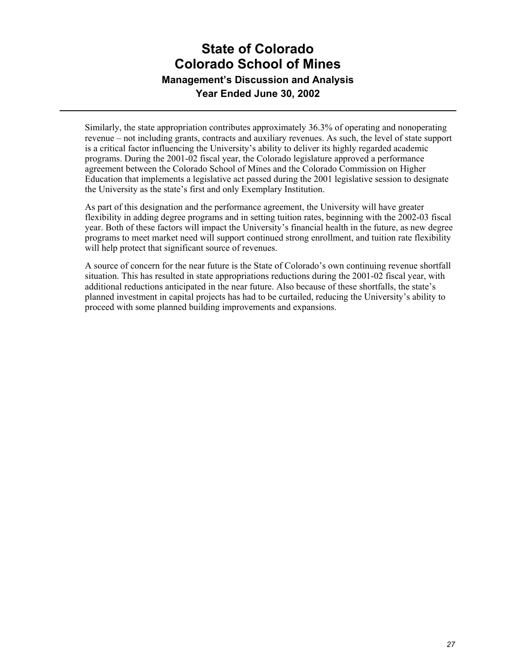Similarly, the state appropriation contributes approximately 36.3% of operating and nonoperating revenue – not including grants, contracts and auxiliary revenues. As such, the level of state support is a critical factor influencing the University's ability to deliver its highly regarded academic programs. During the 2001-02 fiscal year, the Colorado legislature approved a performance agreement between the Colorado School of Mines and the Colorado Commission on Higher Education that implements a legislative act passed during the 2001 legislative session to designate the University as the state's first and only Exemplary Institution.

As part of this designation and the performance agreement, the University will have greater flexibility in adding degree programs and in setting tuition rates, beginning with the 2002-03 fiscal year. Both of these factors will impact the University's financial health in the future, as new degree programs to meet market need will support continued strong enrollment, and tuition rate flexibility will help protect that significant source of revenues.

A source of concern for the near future is the State of Colorado's own continuing revenue shortfall situation. This has resulted in state appropriations reductions during the 2001-02 fiscal year, with additional reductions anticipated in the near future. Also because of these shortfalls, the state's planned investment in capital projects has had to be curtailed, reducing the University's ability to proceed with some planned building improvements and expansions.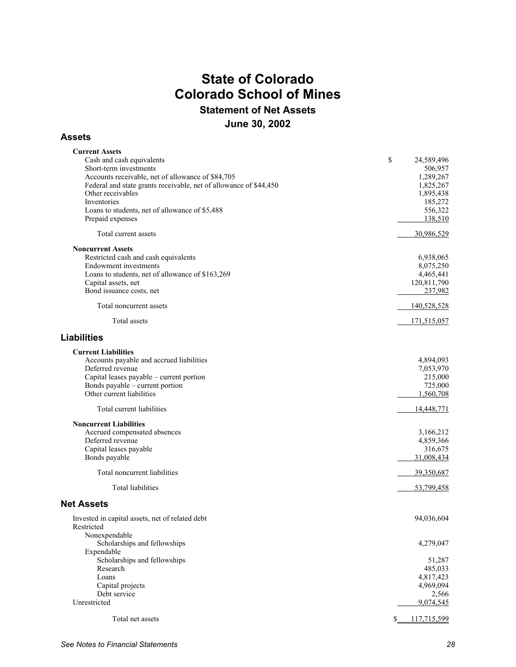## **State of Colorado Colorado School of Mines Statement of Net Assets June 30, 2002**

#### **Assets**

| <b>Current Assets</b>                                             |     |             |
|-------------------------------------------------------------------|-----|-------------|
| Cash and cash equivalents                                         | \$  | 24,589,496  |
| Short-term investments                                            |     | 506,957     |
|                                                                   |     | 1,289,267   |
| Accounts receivable, net of allowance of \$84,705                 |     |             |
| Federal and state grants receivable, net of allowance of \$44,450 |     | 1,825,267   |
| Other receivables                                                 |     | 1,895,438   |
| Inventories                                                       |     | 185,272     |
| Loans to students, net of allowance of \$5,488                    |     | 556,322     |
| Prepaid expenses                                                  |     | 138,510     |
|                                                                   |     |             |
| Total current assets                                              |     | 30,986,529  |
| <b>Noncurrent Assets</b>                                          |     |             |
| Restricted cash and cash equivalents                              |     | 6,938,065   |
|                                                                   |     |             |
| <b>Endowment</b> investments                                      |     | 8,075,250   |
| Loans to students, net of allowance of \$163,269                  |     | 4,465,441   |
| Capital assets, net                                               |     | 120,811,790 |
| Bond issuance costs, net                                          |     | 237,982     |
|                                                                   |     |             |
| Total noncurrent assets                                           |     | 140,528,528 |
| Total assets                                                      |     | 171,515,057 |
| <b>Liabilities</b>                                                |     |             |
|                                                                   |     |             |
| <b>Current Liabilities</b>                                        |     |             |
| Accounts payable and accrued liabilities                          |     | 4,894,093   |
| Deferred revenue                                                  |     | 7,053,970   |
| Capital leases payable - current portion                          |     | 215,000     |
| Bonds payable – current portion                                   |     | 725,000     |
| Other current liabilities                                         |     | 1,560,708   |
|                                                                   |     |             |
| Total current liabilities                                         |     | 14,448,771  |
| <b>Noncurrent Liabilities</b>                                     |     |             |
| Accrued compensated absences                                      |     | 3,166,212   |
| Deferred revenue                                                  |     | 4,859,366   |
|                                                                   |     |             |
| Capital leases payable                                            |     | 316,675     |
| Bonds payable                                                     |     | 31,008,434  |
| Total noncurrent liabilities                                      |     | 39,350,687  |
|                                                                   |     |             |
| Total liabilities                                                 |     | 53,799,458  |
| <b>Net Assets</b>                                                 |     |             |
| Invested in capital assets, net of related debt                   |     | 94,036,604  |
| Restricted                                                        |     |             |
| Nonexpendable                                                     |     |             |
|                                                                   |     | 4,279,047   |
| Scholarships and fellowships                                      |     |             |
| Expendable                                                        |     |             |
| Scholarships and fellowships                                      |     | 51,287      |
| Research                                                          |     | 485,033     |
| Loans                                                             |     | 4,817,423   |
| Capital projects                                                  |     | 4,969,094   |
| Debt service                                                      |     | 2,566       |
| Unrestricted                                                      |     | 9,074,545   |
|                                                                   |     |             |
| Total net assets                                                  | \$. | 117,715,599 |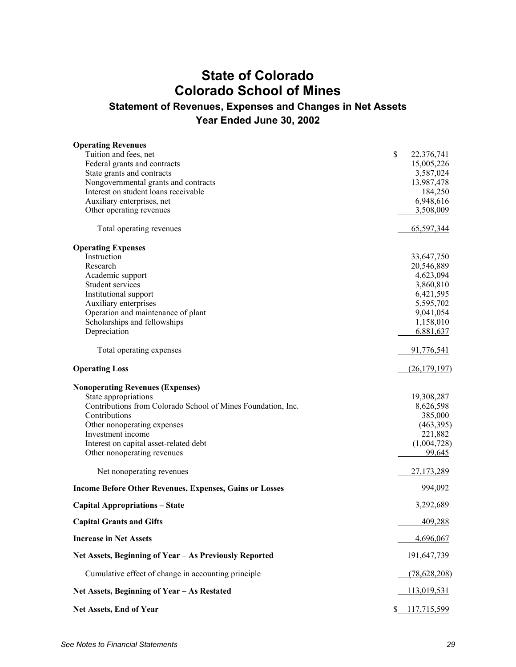## **State of Colorado Colorado School of Mines**

## **Statement of Revenues, Expenses and Changes in Net Assets Year Ended June 30, 2002**

| <b>Operating Revenues</b>                                      |                        |
|----------------------------------------------------------------|------------------------|
| Tuition and fees, net                                          | \$<br>22,376,741       |
| Federal grants and contracts                                   | 15,005,226             |
| State grants and contracts                                     | 3,587,024              |
| Nongovernmental grants and contracts                           | 13,987,478             |
| Interest on student loans receivable                           | 184,250                |
| Auxiliary enterprises, net                                     | 6,948,616              |
| Other operating revenues                                       | 3,508,009              |
| Total operating revenues                                       | 65,597,344             |
| <b>Operating Expenses</b>                                      |                        |
| Instruction                                                    | 33,647,750             |
| Research                                                       | 20,546,889             |
| Academic support<br>Student services                           | 4,623,094<br>3,860,810 |
| Institutional support                                          | 6,421,595              |
| Auxiliary enterprises                                          | 5,595,702              |
| Operation and maintenance of plant                             | 9,041,054              |
| Scholarships and fellowships                                   | 1,158,010              |
| Depreciation                                                   | 6,881,637              |
| Total operating expenses                                       | 91,776,541             |
| <b>Operating Loss</b>                                          | (26, 179, 197)         |
| <b>Nonoperating Revenues (Expenses)</b>                        |                        |
| State appropriations                                           | 19,308,287             |
| Contributions from Colorado School of Mines Foundation, Inc.   | 8,626,598              |
| Contributions                                                  | 385,000                |
| Other nonoperating expenses                                    | (463,395)              |
| Investment income                                              | 221,882                |
| Interest on capital asset-related debt                         | (1,004,728)<br>99,645  |
| Other nonoperating revenues                                    |                        |
| Net nonoperating revenues                                      | 27,173,289             |
| <b>Income Before Other Revenues, Expenses, Gains or Losses</b> | 994,092                |
| <b>Capital Appropriations - State</b>                          | 3,292,689              |
| <b>Capital Grants and Gifts</b>                                | 409,288                |
| <b>Increase in Net Assets</b>                                  | 4,696,067              |
| Net Assets, Beginning of Year - As Previously Reported         | 191,647,739            |
| Cumulative effect of change in accounting principle            | (78, 628, 208)         |
| Net Assets, Beginning of Year - As Restated                    | 113,019,531            |
| Net Assets, End of Year                                        | \$117,715,599          |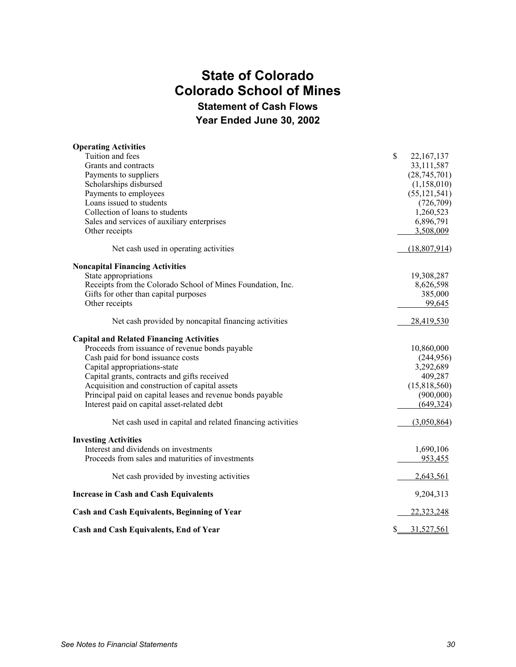## **State of Colorado Colorado School of Mines Statement of Cash Flows**

**Year Ended June 30, 2002**

| <b>Operating Activities</b>                                 |                    |
|-------------------------------------------------------------|--------------------|
| Tuition and fees                                            | \$<br>22, 167, 137 |
| Grants and contracts                                        | 33,111,587         |
| Payments to suppliers                                       | (28, 745, 701)     |
| Scholarships disbursed                                      | (1,158,010)        |
| Payments to employees                                       | (55, 121, 541)     |
| Loans issued to students                                    | (726, 709)         |
| Collection of loans to students                             | 1,260,523          |
| Sales and services of auxiliary enterprises                 | 6,896,791          |
| Other receipts                                              | 3,508,009          |
| Net cash used in operating activities                       | (18,807,914)       |
| <b>Noncapital Financing Activities</b>                      |                    |
| State appropriations                                        | 19,308,287         |
| Receipts from the Colorado School of Mines Foundation, Inc. | 8,626,598          |
| Gifts for other than capital purposes                       | 385,000            |
| Other receipts                                              | 99,645             |
| Net cash provided by noncapital financing activities        | 28,419,530         |
| <b>Capital and Related Financing Activities</b>             |                    |
| Proceeds from issuance of revenue bonds payable             | 10,860,000         |
| Cash paid for bond issuance costs                           | (244, 956)         |
| Capital appropriations-state                                | 3,292,689          |
| Capital grants, contracts and gifts received                | 409,287            |
| Acquisition and construction of capital assets              | (15,818,560)       |
| Principal paid on capital leases and revenue bonds payable  | (900,000)          |
| Interest paid on capital asset-related debt                 | (649, 324)         |
| Net cash used in capital and related financing activities   | (3,050,864)        |
| <b>Investing Activities</b>                                 |                    |
| Interest and dividends on investments                       | 1,690,106          |
| Proceeds from sales and maturities of investments           | 953,455            |
| Net cash provided by investing activities                   | 2,643,561          |
| <b>Increase in Cash and Cash Equivalents</b>                | 9,204,313          |
| Cash and Cash Equivalents, Beginning of Year                | 22,323,248         |
| Cash and Cash Equivalents, End of Year                      | \$<br>31,527,561   |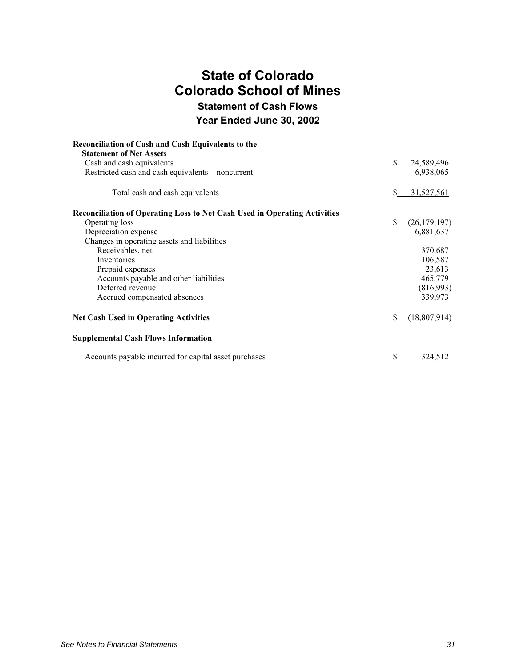## **State of Colorado Colorado School of Mines Statement of Cash Flows Year Ended June 30, 2002**

| <b>Reconciliation of Cash and Cash Equivalents to the</b><br><b>Statement of Net Assets</b> |    |                |
|---------------------------------------------------------------------------------------------|----|----------------|
| Cash and cash equivalents                                                                   | \$ | 24,589,496     |
| Restricted cash and cash equivalents – noncurrent                                           |    | 6,938,065      |
| Total cash and cash equivalents                                                             |    | 31,527,561     |
| Reconciliation of Operating Loss to Net Cash Used in Operating Activities                   |    |                |
| Operating loss                                                                              | \$ | (26, 179, 197) |
| Depreciation expense                                                                        |    | 6,881,637      |
| Changes in operating assets and liabilities                                                 |    |                |
| Receivables, net                                                                            |    | 370,687        |
| Inventories                                                                                 |    | 106,587        |
| Prepaid expenses                                                                            |    | 23,613         |
| Accounts payable and other liabilities                                                      |    | 465,779        |
| Deferred revenue                                                                            |    | (816,993)      |
| Accrued compensated absences                                                                |    | 339,973        |
| <b>Net Cash Used in Operating Activities</b>                                                | S  | (18,807,914)   |
| <b>Supplemental Cash Flows Information</b>                                                  |    |                |
| Accounts payable incurred for capital asset purchases                                       | \$ | 324,512        |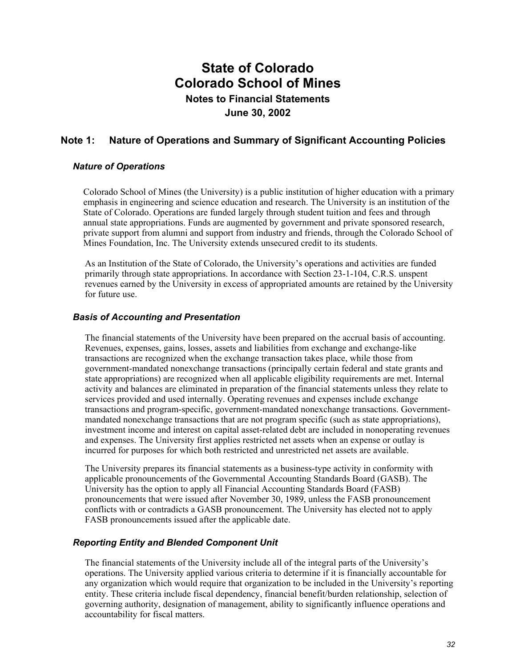## **Note 1: Nature of Operations and Summary of Significant Accounting Policies**

#### *Nature of Operations*

Colorado School of Mines (the University) is a public institution of higher education with a primary emphasis in engineering and science education and research. The University is an institution of the State of Colorado. Operations are funded largely through student tuition and fees and through annual state appropriations. Funds are augmented by government and private sponsored research, private support from alumni and support from industry and friends, through the Colorado School of Mines Foundation, Inc. The University extends unsecured credit to its students.

As an Institution of the State of Colorado, the University's operations and activities are funded primarily through state appropriations. In accordance with Section 23-1-104, C.R.S. unspent revenues earned by the University in excess of appropriated amounts are retained by the University for future use.

#### *Basis of Accounting and Presentation*

The financial statements of the University have been prepared on the accrual basis of accounting. Revenues, expenses, gains, losses, assets and liabilities from exchange and exchange-like transactions are recognized when the exchange transaction takes place, while those from government-mandated nonexchange transactions (principally certain federal and state grants and state appropriations) are recognized when all applicable eligibility requirements are met. Internal activity and balances are eliminated in preparation of the financial statements unless they relate to services provided and used internally. Operating revenues and expenses include exchange transactions and program-specific, government-mandated nonexchange transactions. Governmentmandated nonexchange transactions that are not program specific (such as state appropriations), investment income and interest on capital asset-related debt are included in nonoperating revenues and expenses. The University first applies restricted net assets when an expense or outlay is incurred for purposes for which both restricted and unrestricted net assets are available.

The University prepares its financial statements as a business-type activity in conformity with applicable pronouncements of the Governmental Accounting Standards Board (GASB). The University has the option to apply all Financial Accounting Standards Board (FASB) pronouncements that were issued after November 30, 1989, unless the FASB pronouncement conflicts with or contradicts a GASB pronouncement. The University has elected not to apply FASB pronouncements issued after the applicable date.

#### *Reporting Entity and Blended Component Unit*

The financial statements of the University include all of the integral parts of the University's operations. The University applied various criteria to determine if it is financially accountable for any organization which would require that organization to be included in the University's reporting entity. These criteria include fiscal dependency, financial benefit/burden relationship, selection of governing authority, designation of management, ability to significantly influence operations and accountability for fiscal matters.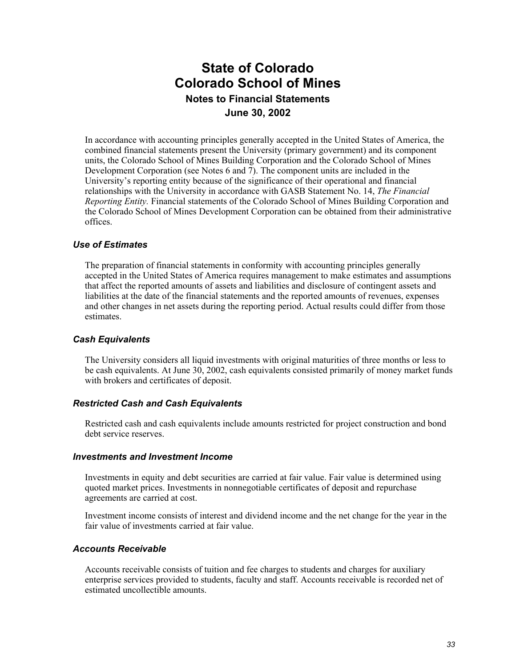In accordance with accounting principles generally accepted in the United States of America, the combined financial statements present the University (primary government) and its component units, the Colorado School of Mines Building Corporation and the Colorado School of Mines Development Corporation (see Notes 6 and 7). The component units are included in the University's reporting entity because of the significance of their operational and financial relationships with the University in accordance with GASB Statement No. 14, *The Financial Reporting Entity.* Financial statements of the Colorado School of Mines Building Corporation and the Colorado School of Mines Development Corporation can be obtained from their administrative offices.

#### *Use of Estimates*

The preparation of financial statements in conformity with accounting principles generally accepted in the United States of America requires management to make estimates and assumptions that affect the reported amounts of assets and liabilities and disclosure of contingent assets and liabilities at the date of the financial statements and the reported amounts of revenues, expenses and other changes in net assets during the reporting period. Actual results could differ from those **estimates** 

#### *Cash Equivalents*

The University considers all liquid investments with original maturities of three months or less to be cash equivalents. At June 30, 2002, cash equivalents consisted primarily of money market funds with brokers and certificates of deposit.

#### *Restricted Cash and Cash Equivalents*

Restricted cash and cash equivalents include amounts restricted for project construction and bond debt service reserves.

#### *Investments and Investment Income*

Investments in equity and debt securities are carried at fair value. Fair value is determined using quoted market prices. Investments in nonnegotiable certificates of deposit and repurchase agreements are carried at cost.

Investment income consists of interest and dividend income and the net change for the year in the fair value of investments carried at fair value.

#### *Accounts Receivable*

Accounts receivable consists of tuition and fee charges to students and charges for auxiliary enterprise services provided to students, faculty and staff. Accounts receivable is recorded net of estimated uncollectible amounts.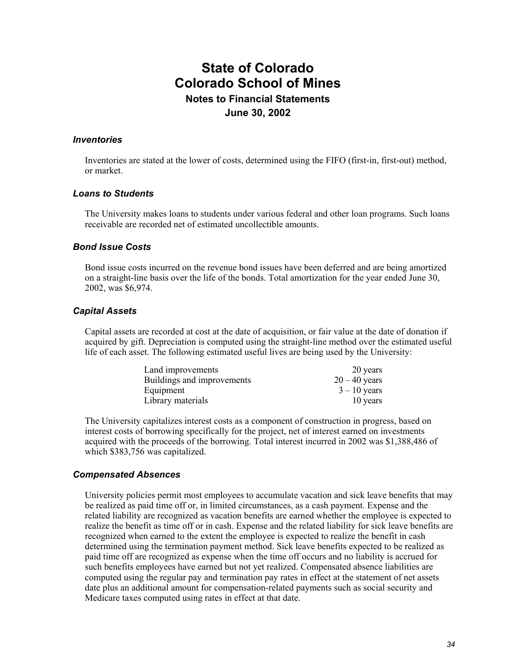#### *Inventories*

Inventories are stated at the lower of costs, determined using the FIFO (first-in, first-out) method, or market.

#### *Loans to Students*

The University makes loans to students under various federal and other loan programs. Such loans receivable are recorded net of estimated uncollectible amounts.

#### *Bond Issue Costs*

Bond issue costs incurred on the revenue bond issues have been deferred and are being amortized on a straight-line basis over the life of the bonds. Total amortization for the year ended June 30, 2002, was \$6,974.

#### *Capital Assets*

Capital assets are recorded at cost at the date of acquisition, or fair value at the date of donation if acquired by gift. Depreciation is computed using the straight-line method over the estimated useful life of each asset. The following estimated useful lives are being used by the University:

| Land improvements          | 20 years        |
|----------------------------|-----------------|
| Buildings and improvements | $20 - 40$ years |
| Equipment                  | $3 - 10$ years  |
| Library materials          | 10 years        |

The University capitalizes interest costs as a component of construction in progress, based on interest costs of borrowing specifically for the project, net of interest earned on investments acquired with the proceeds of the borrowing. Total interest incurred in 2002 was \$1,388,486 of which \$383,756 was capitalized.

#### *Compensated Absences*

University policies permit most employees to accumulate vacation and sick leave benefits that may be realized as paid time off or, in limited circumstances, as a cash payment. Expense and the related liability are recognized as vacation benefits are earned whether the employee is expected to realize the benefit as time off or in cash. Expense and the related liability for sick leave benefits are recognized when earned to the extent the employee is expected to realize the benefit in cash determined using the termination payment method. Sick leave benefits expected to be realized as paid time off are recognized as expense when the time off occurs and no liability is accrued for such benefits employees have earned but not yet realized. Compensated absence liabilities are computed using the regular pay and termination pay rates in effect at the statement of net assets date plus an additional amount for compensation-related payments such as social security and Medicare taxes computed using rates in effect at that date.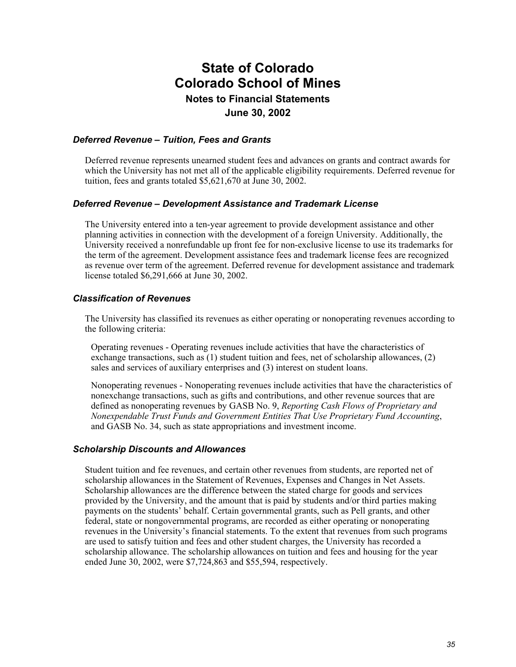#### *Deferred Revenue – Tuition, Fees and Grants*

Deferred revenue represents unearned student fees and advances on grants and contract awards for which the University has not met all of the applicable eligibility requirements. Deferred revenue for tuition, fees and grants totaled \$5,621,670 at June 30, 2002.

#### *Deferred Revenue – Development Assistance and Trademark License*

The University entered into a ten-year agreement to provide development assistance and other planning activities in connection with the development of a foreign University. Additionally, the University received a nonrefundable up front fee for non-exclusive license to use its trademarks for the term of the agreement. Development assistance fees and trademark license fees are recognized as revenue over term of the agreement. Deferred revenue for development assistance and trademark license totaled \$6,291,666 at June 30, 2002.

#### *Classification of Revenues*

The University has classified its revenues as either operating or nonoperating revenues according to the following criteria:

Operating revenues - Operating revenues include activities that have the characteristics of exchange transactions, such as (1) student tuition and fees, net of scholarship allowances, (2) sales and services of auxiliary enterprises and (3) interest on student loans.

Nonoperating revenues - Nonoperating revenues include activities that have the characteristics of nonexchange transactions, such as gifts and contributions, and other revenue sources that are defined as nonoperating revenues by GASB No. 9, *Reporting Cash Flows of Proprietary and Nonexpendable Trust Funds and Government Entities That Use Proprietary Fund Accounting*, and GASB No. 34, such as state appropriations and investment income.

#### *Scholarship Discounts and Allowances*

Student tuition and fee revenues, and certain other revenues from students, are reported net of scholarship allowances in the Statement of Revenues, Expenses and Changes in Net Assets. Scholarship allowances are the difference between the stated charge for goods and services provided by the University, and the amount that is paid by students and/or third parties making payments on the students' behalf. Certain governmental grants, such as Pell grants, and other federal, state or nongovernmental programs, are recorded as either operating or nonoperating revenues in the University's financial statements. To the extent that revenues from such programs are used to satisfy tuition and fees and other student charges, the University has recorded a scholarship allowance. The scholarship allowances on tuition and fees and housing for the year ended June 30, 2002, were \$7,724,863 and \$55,594, respectively.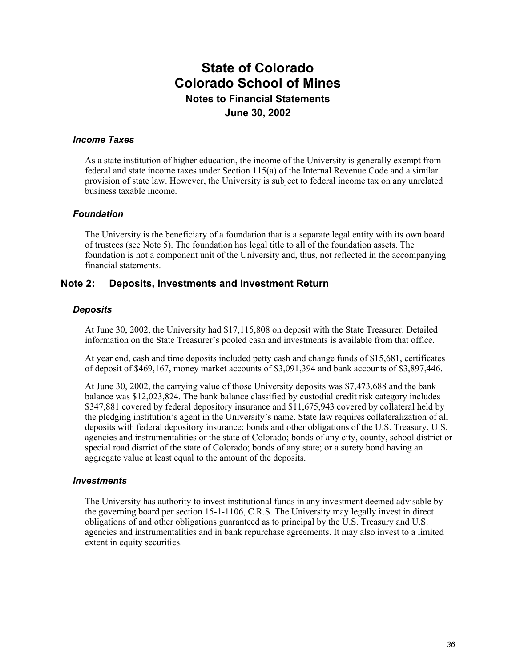#### *Income Taxes*

As a state institution of higher education, the income of the University is generally exempt from federal and state income taxes under Section 115(a) of the Internal Revenue Code and a similar provision of state law. However, the University is subject to federal income tax on any unrelated business taxable income.

#### *Foundation*

The University is the beneficiary of a foundation that is a separate legal entity with its own board of trustees (see Note 5). The foundation has legal title to all of the foundation assets. The foundation is not a component unit of the University and, thus, not reflected in the accompanying financial statements.

#### **Note 2: Deposits, Investments and Investment Return**

#### *Deposits*

At June 30, 2002, the University had \$17,115,808 on deposit with the State Treasurer. Detailed information on the State Treasurer's pooled cash and investments is available from that office.

At year end, cash and time deposits included petty cash and change funds of \$15,681, certificates of deposit of \$469,167, money market accounts of \$3,091,394 and bank accounts of \$3,897,446.

At June 30, 2002, the carrying value of those University deposits was \$7,473,688 and the bank balance was \$12,023,824. The bank balance classified by custodial credit risk category includes \$347,881 covered by federal depository insurance and \$11,675,943 covered by collateral held by the pledging institution's agent in the University's name. State law requires collateralization of all deposits with federal depository insurance; bonds and other obligations of the U.S. Treasury, U.S. agencies and instrumentalities or the state of Colorado; bonds of any city, county, school district or special road district of the state of Colorado; bonds of any state; or a surety bond having an aggregate value at least equal to the amount of the deposits.

#### *Investments*

The University has authority to invest institutional funds in any investment deemed advisable by the governing board per section 15-1-1106, C.R.S. The University may legally invest in direct obligations of and other obligations guaranteed as to principal by the U.S. Treasury and U.S. agencies and instrumentalities and in bank repurchase agreements. It may also invest to a limited extent in equity securities.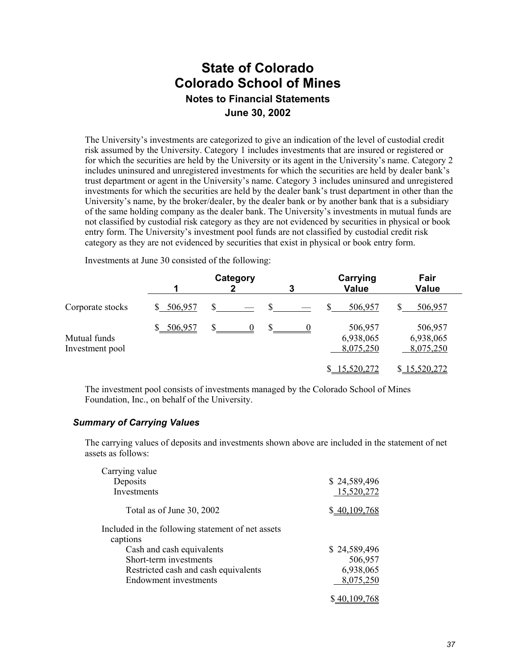The University's investments are categorized to give an indication of the level of custodial credit risk assumed by the University. Category 1 includes investments that are insured or registered or for which the securities are held by the University or its agent in the University's name. Category 2 includes uninsured and unregistered investments for which the securities are held by dealer bank's trust department or agent in the University's name. Category 3 includes uninsured and unregistered investments for which the securities are held by the dealer bank's trust department in other than the University's name, by the broker/dealer, by the dealer bank or by another bank that is a subsidiary of the same holding company as the dealer bank. The University's investments in mutual funds are not classified by custodial risk category as they are not evidenced by securities in physical or book entry form. The University's investment pool funds are not classified by custodial credit risk category as they are not evidenced by securities that exist in physical or book entry form.

Investments at June 30 consisted of the following:

|                                 | Category   |    |   | Carrying                          | Fair                              |  |
|---------------------------------|------------|----|---|-----------------------------------|-----------------------------------|--|
|                                 |            | 2  | 3 | <b>Value</b>                      | <b>Value</b>                      |  |
| Corporate stocks                | \$506,957  | S. |   | 506,957                           | 506,957                           |  |
| Mutual funds<br>Investment pool | \$ 506,957 |    |   | 506,957<br>6,938,065<br>8,075,250 | 506,957<br>6,938,065<br>8,075,250 |  |
|                                 |            |    |   | 15,520,272                        | \$15,520,272                      |  |

The investment pool consists of investments managed by the Colorado School of Mines Foundation, Inc., on behalf of the University.

#### *Summary of Carrying Values*

The carrying values of deposits and investments shown above are included in the statement of net assets as follows:

| Carrying value                                    |              |
|---------------------------------------------------|--------------|
| Deposits                                          | \$24,589,496 |
| Investments                                       | 15,520,272   |
| Total as of June 30, 2002                         | \$40,109,768 |
| Included in the following statement of net assets |              |
| captions                                          |              |
| Cash and cash equivalents                         | \$24,589,496 |
| Short-term investments                            | 506,957      |
| Restricted cash and cash equivalents              | 6,938,065    |
| <b>Endowment</b> investments                      | 8,075,250    |
|                                                   | \$40,109,768 |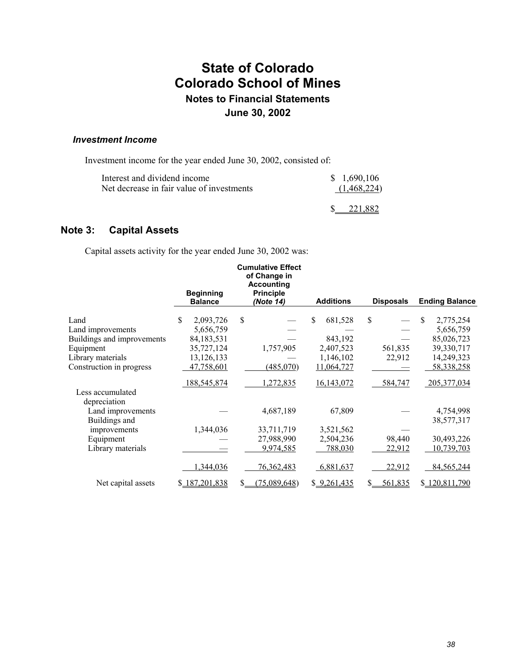### *Investment Income*

Investment income for the year ended June 30, 2002, consisted of:

| Interest and dividend income              | \$1,690,106 |
|-------------------------------------------|-------------|
| Net decrease in fair value of investments | (1,468,224) |
|                                           | 221.882     |

### **Note 3: Capital Assets**

Capital assets activity for the year ended June 30, 2002 was:

|                            |                                    | <b>Cumulative Effect</b><br>of Change in<br><b>Accounting</b> |                  |                  |                       |
|----------------------------|------------------------------------|---------------------------------------------------------------|------------------|------------------|-----------------------|
|                            | <b>Beginning</b><br><b>Balance</b> | <b>Principle</b><br>(Note 14)                                 | <b>Additions</b> | <b>Disposals</b> | <b>Ending Balance</b> |
| Land                       | \$<br>2,093,726                    | \$                                                            | \$<br>681,528    | \$               | -S<br>2,775,254       |
| Land improvements          | 5,656,759                          |                                                               |                  |                  | 5,656,759             |
| Buildings and improvements | 84,183,531                         |                                                               | 843,192          |                  | 85,026,723            |
| Equipment                  | 35,727,124                         | 1,757,905                                                     | 2,407,523        | 561,835          | 39,330,717            |
| Library materials          | 13,126,133                         |                                                               | 1,146,102        | 22,912           | 14,249,323            |
| Construction in progress   | 47,758,601                         | (485,070)                                                     | 11,064,727       |                  | 58,338,258            |
|                            | 188,545,874                        | 1,272,835                                                     | 16,143,072       | 584,747          | 205, 377, 034         |
| Less accumulated           |                                    |                                                               |                  |                  |                       |
| depreciation               |                                    |                                                               |                  |                  |                       |
| Land improvements          |                                    | 4,687,189                                                     | 67,809           |                  | 4,754,998             |
| Buildings and              |                                    |                                                               |                  |                  | 38,577,317            |
| improvements               | 1,344,036                          | 33,711,719                                                    | 3,521,562        |                  |                       |
| Equipment                  |                                    | 27,988,990                                                    | 2,504,236        | 98,440           | 30,493,226            |
| Library materials          |                                    | 9,974,585                                                     | 788,030          | 22,912           | 10,739,703            |
|                            | 1,344,036                          | 76, 362, 483                                                  | 6,881,637        | 22,912           | 84,565,244            |
| Net capital assets         | \$187,201,838                      | (75,089,648)                                                  | \$9,261,435      | 561,835          | \$120,811,790         |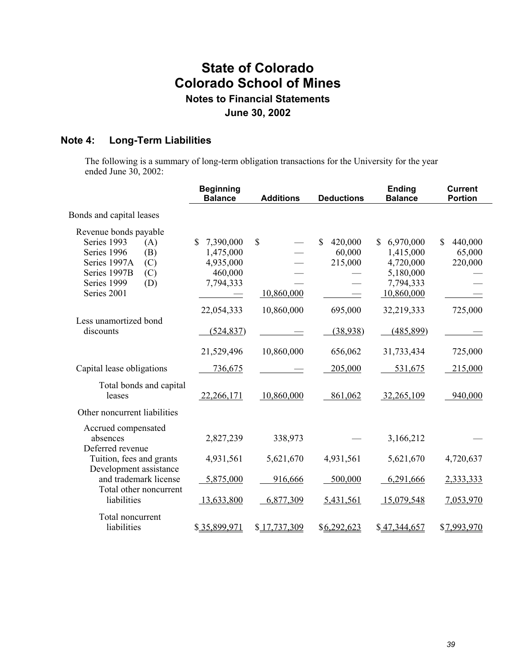## **Note 4: Long-Term Liabilities**

The following is a summary of long-term obligation transactions for the University for the year ended June 30, 2002:

|                                                                           | <b>Beginning</b><br><b>Balance</b> | <b>Additions</b> | <b>Deductions</b>      | <b>Ending</b><br><b>Balance</b> | <b>Current</b><br><b>Portion</b> |
|---------------------------------------------------------------------------|------------------------------------|------------------|------------------------|---------------------------------|----------------------------------|
| Bonds and capital leases                                                  |                                    |                  |                        |                                 |                                  |
| Revenue bonds payable                                                     |                                    |                  |                        |                                 |                                  |
| Series 1993<br>(A)                                                        | $\mathbb{S}$<br>7,390,000          | \$               | $\mathbf S$<br>420,000 | 6,970,000<br>\$                 | S<br>440,000                     |
| Series 1996<br>(B)                                                        | 1,475,000                          |                  | 60,000                 | 1,415,000                       | 65,000                           |
| Series 1997A<br>(C)                                                       | 4,935,000                          |                  | 215,000                | 4,720,000                       | 220,000                          |
| Series 1997B<br>(C)                                                       | 460,000                            |                  |                        | 5,180,000                       |                                  |
| Series 1999<br>(D)                                                        | 7,794,333                          |                  |                        | 7,794,333                       |                                  |
| Series 2001                                                               |                                    | 10,860,000       |                        | 10,860,000                      |                                  |
|                                                                           | 22,054,333                         | 10,860,000       | 695,000                | 32,219,333                      | 725,000                          |
| Less unamortized bond<br>discounts                                        | (524, 837)                         |                  | (38,938)               | (485, 899)                      |                                  |
|                                                                           | 21,529,496                         | 10,860,000       | 656,062                | 31,733,434                      | 725,000                          |
| Capital lease obligations                                                 | 736,675                            |                  | 205,000                | 531,675                         | 215,000                          |
| Total bonds and capital<br>leases                                         | 22,266,171                         | 10,860,000       | 861,062                | 32,265,109                      | 940,000                          |
| Other noncurrent liabilities                                              |                                    |                  |                        |                                 |                                  |
| Accrued compensated<br>absences<br>Deferred revenue                       | 2,827,239                          | 338,973          |                        | 3,166,212                       |                                  |
| Tuition, fees and grants                                                  | 4,931,561                          | 5,621,670        | 4,931,561              | 5,621,670                       | 4,720,637                        |
| Development assistance<br>and trademark license<br>Total other noncurrent | 5,875,000                          | 916,666          | 500,000                | 6,291,666                       | 2,333,333                        |
| liabilities                                                               | 13,633,800                         | 6,877,309        | 5,431,561              | 15,079,548                      | 7,053,970                        |
| Total noncurrent                                                          |                                    |                  |                        |                                 |                                  |
| liabilities                                                               | \$35,899,971                       | \$17,737,309     | \$6,292,623            | \$47,344,657                    | \$7,993,970                      |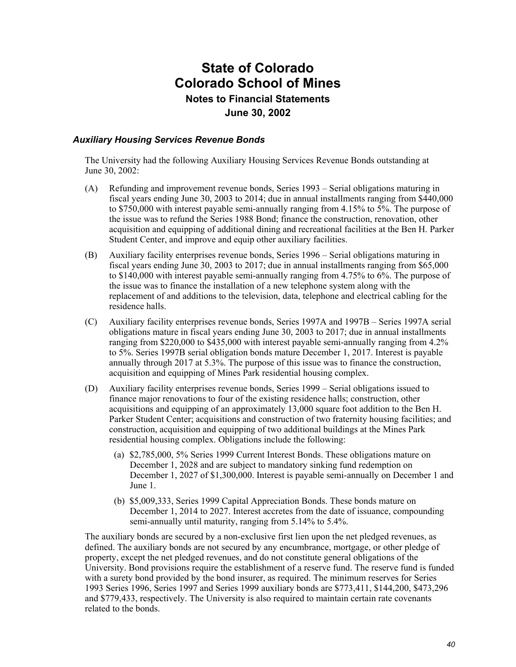#### *Auxiliary Housing Services Revenue Bonds*

The University had the following Auxiliary Housing Services Revenue Bonds outstanding at June 30, 2002:

- (A) Refunding and improvement revenue bonds, Series 1993 Serial obligations maturing in fiscal years ending June 30, 2003 to 2014; due in annual installments ranging from \$440,000 to \$750,000 with interest payable semi-annually ranging from 4.15% to 5%. The purpose of the issue was to refund the Series 1988 Bond; finance the construction, renovation, other acquisition and equipping of additional dining and recreational facilities at the Ben H. Parker Student Center, and improve and equip other auxiliary facilities.
- (B) Auxiliary facility enterprises revenue bonds, Series 1996 Serial obligations maturing in fiscal years ending June 30, 2003 to 2017; due in annual installments ranging from \$65,000 to \$140,000 with interest payable semi-annually ranging from 4.75% to 6%. The purpose of the issue was to finance the installation of a new telephone system along with the replacement of and additions to the television, data, telephone and electrical cabling for the residence halls.
- (C) Auxiliary facility enterprises revenue bonds, Series 1997A and 1997B Series 1997A serial obligations mature in fiscal years ending June 30, 2003 to 2017; due in annual installments ranging from \$220,000 to \$435,000 with interest payable semi-annually ranging from 4.2% to 5%. Series 1997B serial obligation bonds mature December 1, 2017. Interest is payable annually through 2017 at 5.3%. The purpose of this issue was to finance the construction, acquisition and equipping of Mines Park residential housing complex.
- (D) Auxiliary facility enterprises revenue bonds, Series 1999 Serial obligations issued to finance major renovations to four of the existing residence halls; construction, other acquisitions and equipping of an approximately 13,000 square foot addition to the Ben H. Parker Student Center; acquisitions and construction of two fraternity housing facilities; and construction, acquisition and equipping of two additional buildings at the Mines Park residential housing complex. Obligations include the following:
	- (a) \$2,785,000, 5% Series 1999 Current Interest Bonds. These obligations mature on December 1, 2028 and are subject to mandatory sinking fund redemption on December 1, 2027 of \$1,300,000. Interest is payable semi-annually on December 1 and June 1.
	- (b) \$5,009,333, Series 1999 Capital Appreciation Bonds. These bonds mature on December 1, 2014 to 2027. Interest accretes from the date of issuance, compounding semi-annually until maturity, ranging from 5.14% to 5.4%.

The auxiliary bonds are secured by a non-exclusive first lien upon the net pledged revenues, as defined. The auxiliary bonds are not secured by any encumbrance, mortgage, or other pledge of property, except the net pledged revenues, and do not constitute general obligations of the University. Bond provisions require the establishment of a reserve fund. The reserve fund is funded with a surety bond provided by the bond insurer, as required. The minimum reserves for Series 1993 Series 1996, Series 1997 and Series 1999 auxiliary bonds are \$773,411, \$144,200, \$473,296 and \$779,433, respectively. The University is also required to maintain certain rate covenants related to the bonds.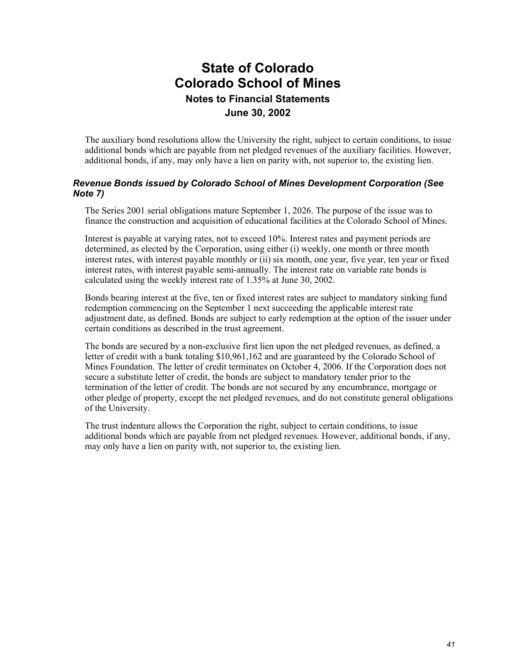The auxiliary bond resolutions allow the University the right, subject to certain conditions, to issue additional bonds which are payable from net pledged revenues of the auxiliary facilities. However, additional bonds, if any, may only have a lien on parity with, not superior to, the existing lien.

#### *Revenue Bonds issued by Colorado School of Mines Development Corporation (See Note 7)*

The Series 2001 serial obligations mature September 1, 2026. The purpose of the issue was to finance the construction and acquisition of educational facilities at the Colorado School of Mines.

Interest is payable at varying rates, not to exceed 10%. Interest rates and payment periods are determined, as elected by the Corporation, using either (i) weekly, one month or three month interest rates, with interest payable monthly or (ii) six month, one year, five year, ten year or fixed interest rates, with interest payable semi-annually. The interest rate on variable rate bonds is calculated using the weekly interest rate of 1.35% at June 30, 2002.

Bonds bearing interest at the five, ten or fixed interest rates are subject to mandatory sinking fund redemption commencing on the September 1 next succeeding the applicable interest rate adjustment date, as defined. Bonds are subject to early redemption at the option of the issuer under certain conditions as described in the trust agreement.

The bonds are secured by a non-exclusive first lien upon the net pledged revenues, as defined, a letter of credit with a bank totaling \$10,961,162 and are guaranteed by the Colorado School of Mines Foundation. The letter of credit terminates on October 4, 2006. If the Corporation does not secure a substitute letter of credit, the bonds are subject to mandatory tender prior to the termination of the letter of credit. The bonds are not secured by any encumbrance, mortgage or other pledge of property, except the net pledged revenues, and do not constitute general obligations of the University.

The trust indenture allows the Corporation the right, subject to certain conditions, to issue additional bonds which are payable from net pledged revenues. However, additional bonds, if any, may only have a lien on parity with, not superior to, the existing lien.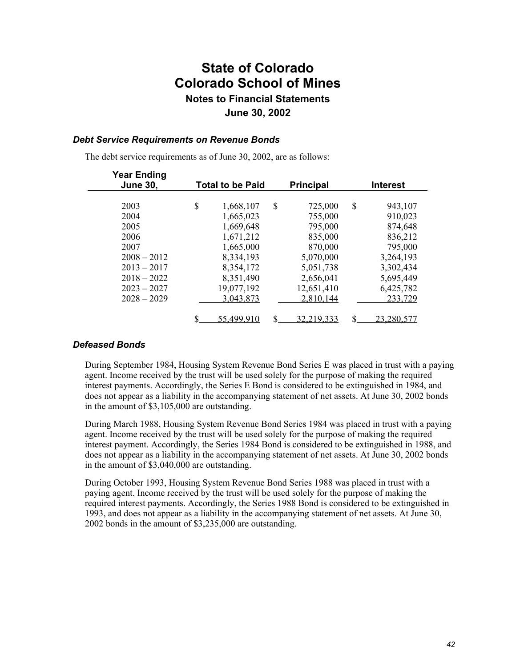#### *Debt Service Requirements on Revenue Bonds*

The debt service requirements as of June 30, 2002, are as follows:

| <b>Year Ending</b><br><b>June 30,</b> | <b>Total to be Paid</b> | <b>Principal</b> | <b>Interest</b> |
|---------------------------------------|-------------------------|------------------|-----------------|
|                                       |                         |                  |                 |
| 2003                                  | \$<br>1,668,107         | \$<br>725,000    | \$<br>943,107   |
| 2004                                  | 1,665,023               | 755,000          | 910,023         |
| 2005                                  | 1,669,648               | 795,000          | 874,648         |
| 2006                                  | 1,671,212               | 835,000          | 836,212         |
| 2007                                  | 1,665,000               | 870,000          | 795,000         |
| $2008 - 2012$                         | 8,334,193               | 5,070,000        | 3,264,193       |
| $2013 - 2017$                         | 8,354,172               | 5,051,738        | 3,302,434       |
| $2018 - 2022$                         | 8,351,490               | 2,656,041        | 5,695,449       |
| $2023 - 2027$                         | 19,077,192              | 12,651,410       | 6,425,782       |
| $2028 - 2029$                         | 3,043,873               | 2,810,144        | 233,729         |
|                                       |                         |                  |                 |
|                                       | 55,499,910              | 32,219,333       | 23.280.5        |
|                                       |                         |                  |                 |

#### *Defeased Bonds*

During September 1984, Housing System Revenue Bond Series E was placed in trust with a paying agent. Income received by the trust will be used solely for the purpose of making the required interest payments. Accordingly, the Series E Bond is considered to be extinguished in 1984, and does not appear as a liability in the accompanying statement of net assets. At June 30, 2002 bonds in the amount of \$3,105,000 are outstanding.

During March 1988, Housing System Revenue Bond Series 1984 was placed in trust with a paying agent. Income received by the trust will be used solely for the purpose of making the required interest payment. Accordingly, the Series 1984 Bond is considered to be extinguished in 1988, and does not appear as a liability in the accompanying statement of net assets. At June 30, 2002 bonds in the amount of \$3,040,000 are outstanding.

During October 1993, Housing System Revenue Bond Series 1988 was placed in trust with a paying agent. Income received by the trust will be used solely for the purpose of making the required interest payments. Accordingly, the Series 1988 Bond is considered to be extinguished in 1993, and does not appear as a liability in the accompanying statement of net assets. At June 30, 2002 bonds in the amount of \$3,235,000 are outstanding.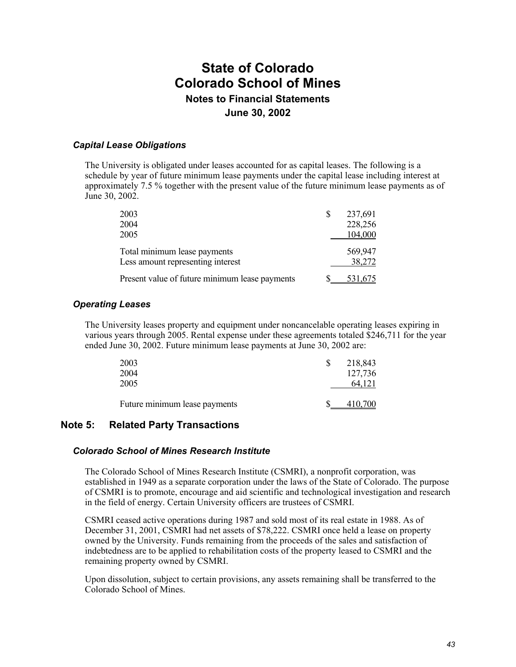#### *Capital Lease Obligations*

The University is obligated under leases accounted for as capital leases. The following is a schedule by year of future minimum lease payments under the capital lease including interest at approximately 7.5 % together with the present value of the future minimum lease payments as of June 30, 2002.

| 2003                                           | S | 237,691 |
|------------------------------------------------|---|---------|
| 2004                                           |   | 228,256 |
| 2005                                           |   | 104,000 |
| Total minimum lease payments                   |   | 569,947 |
| Less amount representing interest              |   | 38,272  |
| Present value of future minimum lease payments |   | 531.675 |

### *Operating Leases*

The University leases property and equipment under noncancelable operating leases expiring in various years through 2005. Rental expense under these agreements totaled \$246,711 for the year ended June 30, 2002. Future minimum lease payments at June 30, 2002 are:

| 2003<br>2004                  | 218,843<br>127,736 |
|-------------------------------|--------------------|
| 2005                          | 64.121             |
| Future minimum lease payments | 410.700            |

### **Note 5: Related Party Transactions**

#### *Colorado School of Mines Research Institute*

The Colorado School of Mines Research Institute (CSMRI), a nonprofit corporation, was established in 1949 as a separate corporation under the laws of the State of Colorado. The purpose of CSMRI is to promote, encourage and aid scientific and technological investigation and research in the field of energy. Certain University officers are trustees of CSMRI.

CSMRI ceased active operations during 1987 and sold most of its real estate in 1988. As of December 31, 2001, CSMRI had net assets of \$78,222. CSMRI once held a lease on property owned by the University. Funds remaining from the proceeds of the sales and satisfaction of indebtedness are to be applied to rehabilitation costs of the property leased to CSMRI and the remaining property owned by CSMRI.

Upon dissolution, subject to certain provisions, any assets remaining shall be transferred to the Colorado School of Mines.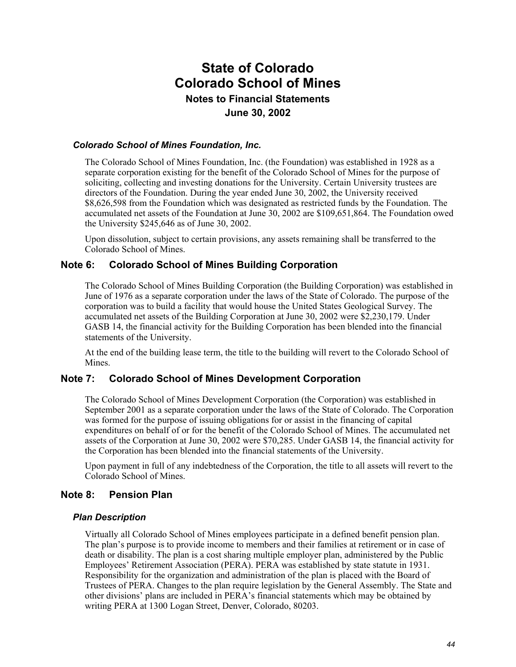#### *Colorado School of Mines Foundation, Inc.*

The Colorado School of Mines Foundation, Inc. (the Foundation) was established in 1928 as a separate corporation existing for the benefit of the Colorado School of Mines for the purpose of soliciting, collecting and investing donations for the University. Certain University trustees are directors of the Foundation. During the year ended June 30, 2002, the University received \$8,626,598 from the Foundation which was designated as restricted funds by the Foundation. The accumulated net assets of the Foundation at June 30, 2002 are \$109,651,864. The Foundation owed the University \$245,646 as of June 30, 2002.

Upon dissolution, subject to certain provisions, any assets remaining shall be transferred to the Colorado School of Mines.

#### **Note 6: Colorado School of Mines Building Corporation**

The Colorado School of Mines Building Corporation (the Building Corporation) was established in June of 1976 as a separate corporation under the laws of the State of Colorado. The purpose of the corporation was to build a facility that would house the United States Geological Survey. The accumulated net assets of the Building Corporation at June 30, 2002 were \$2,230,179. Under GASB 14, the financial activity for the Building Corporation has been blended into the financial statements of the University.

At the end of the building lease term, the title to the building will revert to the Colorado School of Mines.

#### **Note 7: Colorado School of Mines Development Corporation**

The Colorado School of Mines Development Corporation (the Corporation) was established in September 2001 as a separate corporation under the laws of the State of Colorado. The Corporation was formed for the purpose of issuing obligations for or assist in the financing of capital expenditures on behalf of or for the benefit of the Colorado School of Mines. The accumulated net assets of the Corporation at June 30, 2002 were \$70,285. Under GASB 14, the financial activity for the Corporation has been blended into the financial statements of the University.

Upon payment in full of any indebtedness of the Corporation, the title to all assets will revert to the Colorado School of Mines.

#### **Note 8: Pension Plan**

#### *Plan Description*

Virtually all Colorado School of Mines employees participate in a defined benefit pension plan. The plan's purpose is to provide income to members and their families at retirement or in case of death or disability. The plan is a cost sharing multiple employer plan, administered by the Public Employees' Retirement Association (PERA). PERA was established by state statute in 1931. Responsibility for the organization and administration of the plan is placed with the Board of Trustees of PERA. Changes to the plan require legislation by the General Assembly. The State and other divisions' plans are included in PERA's financial statements which may be obtained by writing PERA at 1300 Logan Street, Denver, Colorado, 80203.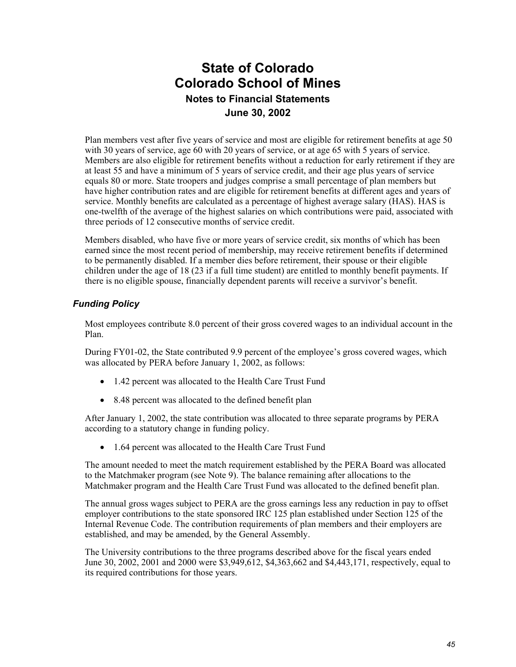Plan members vest after five years of service and most are eligible for retirement benefits at age 50 with 30 years of service, age 60 with 20 years of service, or at age 65 with 5 years of service. Members are also eligible for retirement benefits without a reduction for early retirement if they are at least 55 and have a minimum of 5 years of service credit, and their age plus years of service equals 80 or more. State troopers and judges comprise a small percentage of plan members but have higher contribution rates and are eligible for retirement benefits at different ages and years of service. Monthly benefits are calculated as a percentage of highest average salary (HAS). HAS is one-twelfth of the average of the highest salaries on which contributions were paid, associated with three periods of 12 consecutive months of service credit.

Members disabled, who have five or more years of service credit, six months of which has been earned since the most recent period of membership, may receive retirement benefits if determined to be permanently disabled. If a member dies before retirement, their spouse or their eligible children under the age of 18 (23 if a full time student) are entitled to monthly benefit payments. If there is no eligible spouse, financially dependent parents will receive a survivor's benefit.

### *Funding Policy*

Most employees contribute 8.0 percent of their gross covered wages to an individual account in the Plan.

During FY01-02, the State contributed 9.9 percent of the employee's gross covered wages, which was allocated by PERA before January 1, 2002, as follows:

- 1.42 percent was allocated to the Health Care Trust Fund
- 8.48 percent was allocated to the defined benefit plan

After January 1, 2002, the state contribution was allocated to three separate programs by PERA according to a statutory change in funding policy.

• 1.64 percent was allocated to the Health Care Trust Fund

The amount needed to meet the match requirement established by the PERA Board was allocated to the Matchmaker program (see Note 9). The balance remaining after allocations to the Matchmaker program and the Health Care Trust Fund was allocated to the defined benefit plan.

The annual gross wages subject to PERA are the gross earnings less any reduction in pay to offset employer contributions to the state sponsored IRC 125 plan established under Section 125 of the Internal Revenue Code. The contribution requirements of plan members and their employers are established, and may be amended, by the General Assembly.

The University contributions to the three programs described above for the fiscal years ended June 30, 2002, 2001 and 2000 were \$3,949,612, \$4,363,662 and \$4,443,171, respectively, equal to its required contributions for those years.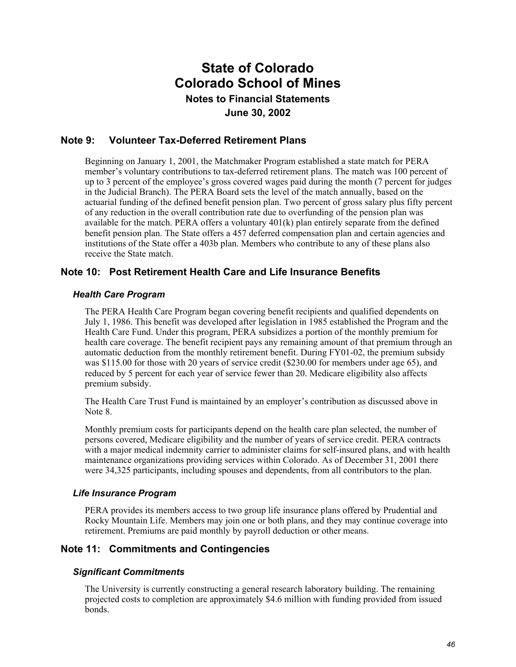### **Note 9: Volunteer Tax-Deferred Retirement Plans**

Beginning on January 1, 2001, the Matchmaker Program established a state match for PERA member's voluntary contributions to tax-deferred retirement plans. The match was 100 percent of up to 3 percent of the employee's gross covered wages paid during the month (7 percent for judges in the Judicial Branch). The PERA Board sets the level of the match annually, based on the actuarial funding of the defined benefit pension plan. Two percent of gross salary plus fifty percent of any reduction in the overall contribution rate due to overfunding of the pension plan was available for the match. PERA offers a voluntary  $401(k)$  plan entirely separate from the defined benefit pension plan. The State offers a 457 deferred compensation plan and certain agencies and institutions of the State offer a 403b plan. Members who contribute to any of these plans also receive the State match.

### **Note 10: Post Retirement Health Care and Life Insurance Benefits**

#### *Health Care Program*

The PERA Health Care Program began covering benefit recipients and qualified dependents on July 1, 1986. This benefit was developed after legislation in 1985 established the Program and the Health Care Fund. Under this program, PERA subsidizes a portion of the monthly premium for health care coverage. The benefit recipient pays any remaining amount of that premium through an automatic deduction from the monthly retirement benefit. During FY01-02, the premium subsidy was \$115.00 for those with 20 years of service credit (\$230.00 for members under age 65), and reduced by 5 percent for each year of service fewer than 20. Medicare eligibility also affects premium subsidy.

The Health Care Trust Fund is maintained by an employer's contribution as discussed above in Note 8.

Monthly premium costs for participants depend on the health care plan selected, the number of persons covered, Medicare eligibility and the number of years of service credit. PERA contracts with a major medical indemnity carrier to administer claims for self-insured plans, and with health maintenance organizations providing services within Colorado. As of December 31, 2001 there were 34,325 participants, including spouses and dependents, from all contributors to the plan.

#### *Life Insurance Program*

PERA provides its members access to two group life insurance plans offered by Prudential and Rocky Mountain Life. Members may join one or both plans, and they may continue coverage into retirement. Premiums are paid monthly by payroll deduction or other means.

#### **Note 11: Commitments and Contingencies**

#### *Significant Commitments*

The University is currently constructing a general research laboratory building. The remaining projected costs to completion are approximately \$4.6 million with funding provided from issued bonds.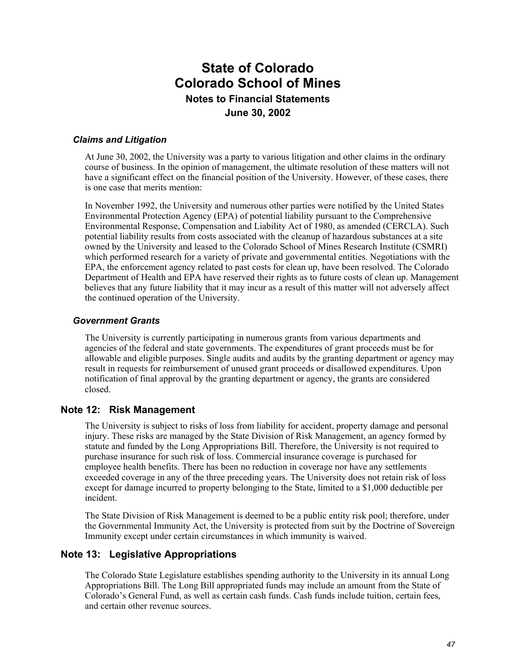#### *Claims and Litigation*

At June 30, 2002, the University was a party to various litigation and other claims in the ordinary course of business. In the opinion of management, the ultimate resolution of these matters will not have a significant effect on the financial position of the University. However, of these cases, there is one case that merits mention:

In November 1992, the University and numerous other parties were notified by the United States Environmental Protection Agency (EPA) of potential liability pursuant to the Comprehensive Environmental Response, Compensation and Liability Act of 1980, as amended (CERCLA). Such potential liability results from costs associated with the cleanup of hazardous substances at a site owned by the University and leased to the Colorado School of Mines Research Institute (CSMRI) which performed research for a variety of private and governmental entities. Negotiations with the EPA, the enforcement agency related to past costs for clean up, have been resolved. The Colorado Department of Health and EPA have reserved their rights as to future costs of clean up. Management believes that any future liability that it may incur as a result of this matter will not adversely affect the continued operation of the University.

#### *Government Grants*

The University is currently participating in numerous grants from various departments and agencies of the federal and state governments. The expenditures of grant proceeds must be for allowable and eligible purposes. Single audits and audits by the granting department or agency may result in requests for reimbursement of unused grant proceeds or disallowed expenditures. Upon notification of final approval by the granting department or agency, the grants are considered closed.

#### **Note 12: Risk Management**

The University is subject to risks of loss from liability for accident, property damage and personal injury. These risks are managed by the State Division of Risk Management, an agency formed by statute and funded by the Long Appropriations Bill. Therefore, the University is not required to purchase insurance for such risk of loss. Commercial insurance coverage is purchased for employee health benefits. There has been no reduction in coverage nor have any settlements exceeded coverage in any of the three preceding years. The University does not retain risk of loss except for damage incurred to property belonging to the State, limited to a \$1,000 deductible per incident.

The State Division of Risk Management is deemed to be a public entity risk pool; therefore, under the Governmental Immunity Act, the University is protected from suit by the Doctrine of Sovereign Immunity except under certain circumstances in which immunity is waived.

#### **Note 13: Legislative Appropriations**

The Colorado State Legislature establishes spending authority to the University in its annual Long Appropriations Bill. The Long Bill appropriated funds may include an amount from the State of Colorado's General Fund, as well as certain cash funds. Cash funds include tuition, certain fees, and certain other revenue sources.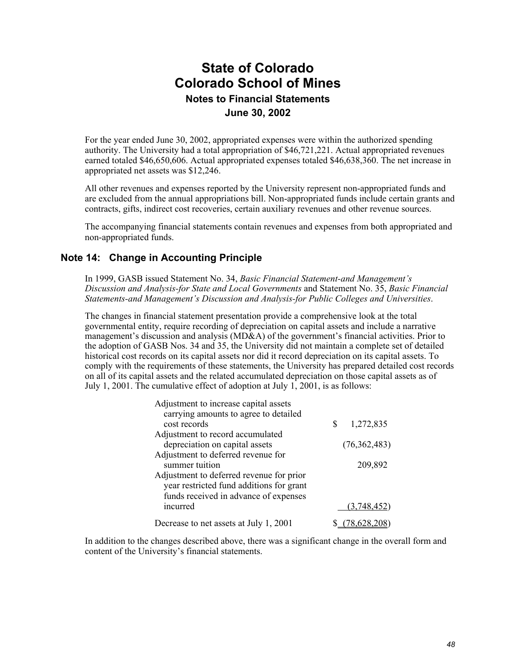For the year ended June 30, 2002, appropriated expenses were within the authorized spending authority. The University had a total appropriation of \$46,721,221. Actual appropriated revenues earned totaled \$46,650,606. Actual appropriated expenses totaled \$46,638,360. The net increase in appropriated net assets was \$12,246.

All other revenues and expenses reported by the University represent non-appropriated funds and are excluded from the annual appropriations bill. Non-appropriated funds include certain grants and contracts, gifts, indirect cost recoveries, certain auxiliary revenues and other revenue sources.

The accompanying financial statements contain revenues and expenses from both appropriated and non-appropriated funds.

### **Note 14: Change in Accounting Principle**

In 1999, GASB issued Statement No. 34, *Basic Financial Statement-and Management's Discussion and Analysis-for State and Local Governments* and Statement No. 35, *Basic Financial Statements-and Management's Discussion and Analysis-for Public Colleges and Universities*.

The changes in financial statement presentation provide a comprehensive look at the total governmental entity, require recording of depreciation on capital assets and include a narrative management's discussion and analysis (MD&A) of the government's financial activities. Prior to the adoption of GASB Nos. 34 and 35, the University did not maintain a complete set of detailed historical cost records on its capital assets nor did it record depreciation on its capital assets. To comply with the requirements of these statements, the University has prepared detailed cost records on all of its capital assets and the related accumulated depreciation on those capital assets as of July 1, 2001. The cumulative effect of adoption at July 1, 2001, is as follows:

| Adjustment to increase capital assets    |   |                |
|------------------------------------------|---|----------------|
| carrying amounts to agree to detailed    |   |                |
| cost records                             | S | 1,272,835      |
| Adjustment to record accumulated         |   |                |
| depreciation on capital assets           |   | (76, 362, 483) |
| Adjustment to deferred revenue for       |   |                |
| summer tuition                           |   | 209,892        |
| Adjustment to deferred revenue for prior |   |                |
| year restricted fund additions for grant |   |                |
| funds received in advance of expenses    |   |                |
| incurred                                 |   | (3,748,452)    |
| Decrease to net assets at July 1, 2001   |   | 78.628.208     |

In addition to the changes described above, there was a significant change in the overall form and content of the University's financial statements.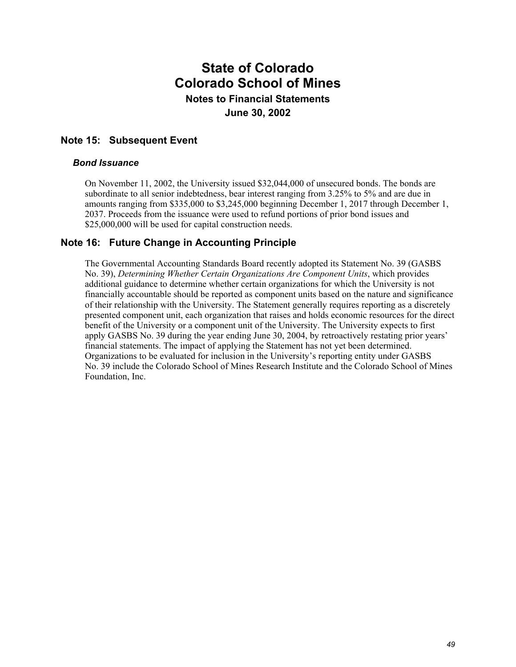### **Note 15: Subsequent Event**

#### *Bond Issuance*

On November 11, 2002, the University issued \$32,044,000 of unsecured bonds. The bonds are subordinate to all senior indebtedness, bear interest ranging from 3.25% to 5% and are due in amounts ranging from \$335,000 to \$3,245,000 beginning December 1, 2017 through December 1, 2037. Proceeds from the issuance were used to refund portions of prior bond issues and \$25,000,000 will be used for capital construction needs.

### **Note 16: Future Change in Accounting Principle**

The Governmental Accounting Standards Board recently adopted its Statement No. 39 (GASBS No. 39), *Determining Whether Certain Organizations Are Component Units*, which provides additional guidance to determine whether certain organizations for which the University is not financially accountable should be reported as component units based on the nature and significance of their relationship with the University. The Statement generally requires reporting as a discretely presented component unit, each organization that raises and holds economic resources for the direct benefit of the University or a component unit of the University. The University expects to first apply GASBS No. 39 during the year ending June 30, 2004, by retroactively restating prior years' financial statements. The impact of applying the Statement has not yet been determined. Organizations to be evaluated for inclusion in the University's reporting entity under GASBS No. 39 include the Colorado School of Mines Research Institute and the Colorado School of Mines Foundation, Inc.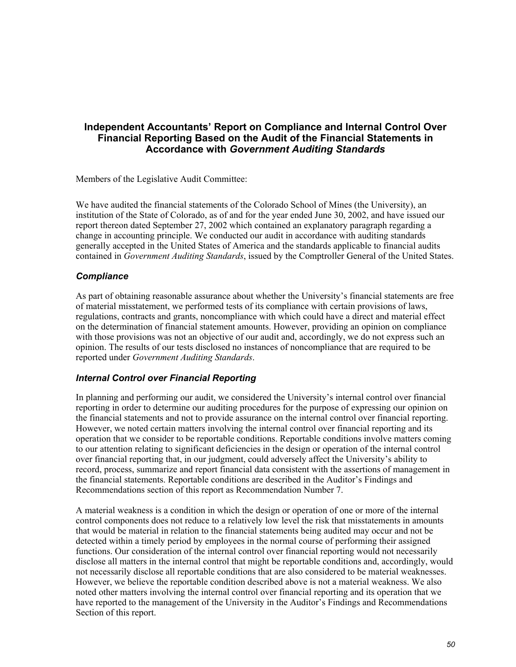### **Independent Accountants' Report on Compliance and Internal Control Over Financial Reporting Based on the Audit of the Financial Statements in Accordance with** *Government Auditing Standards*

Members of the Legislative Audit Committee:

We have audited the financial statements of the Colorado School of Mines (the University), an institution of the State of Colorado, as of and for the year ended June 30, 2002, and have issued our report thereon dated September 27, 2002 which contained an explanatory paragraph regarding a change in accounting principle. We conducted our audit in accordance with auditing standards generally accepted in the United States of America and the standards applicable to financial audits contained in *Government Auditing Standards*, issued by the Comptroller General of the United States.

#### *Compliance*

As part of obtaining reasonable assurance about whether the University's financial statements are free of material misstatement, we performed tests of its compliance with certain provisions of laws, regulations, contracts and grants, noncompliance with which could have a direct and material effect on the determination of financial statement amounts. However, providing an opinion on compliance with those provisions was not an objective of our audit and, accordingly, we do not express such an opinion. The results of our tests disclosed no instances of noncompliance that are required to be reported under *Government Auditing Standards*.

#### *Internal Control over Financial Reporting*

In planning and performing our audit, we considered the University's internal control over financial reporting in order to determine our auditing procedures for the purpose of expressing our opinion on the financial statements and not to provide assurance on the internal control over financial reporting. However, we noted certain matters involving the internal control over financial reporting and its operation that we consider to be reportable conditions. Reportable conditions involve matters coming to our attention relating to significant deficiencies in the design or operation of the internal control over financial reporting that, in our judgment, could adversely affect the University's ability to record, process, summarize and report financial data consistent with the assertions of management in the financial statements. Reportable conditions are described in the Auditor's Findings and Recommendations section of this report as Recommendation Number 7.

A material weakness is a condition in which the design or operation of one or more of the internal control components does not reduce to a relatively low level the risk that misstatements in amounts that would be material in relation to the financial statements being audited may occur and not be detected within a timely period by employees in the normal course of performing their assigned functions. Our consideration of the internal control over financial reporting would not necessarily disclose all matters in the internal control that might be reportable conditions and, accordingly, would not necessarily disclose all reportable conditions that are also considered to be material weaknesses. However, we believe the reportable condition described above is not a material weakness. We also noted other matters involving the internal control over financial reporting and its operation that we have reported to the management of the University in the Auditor's Findings and Recommendations Section of this report.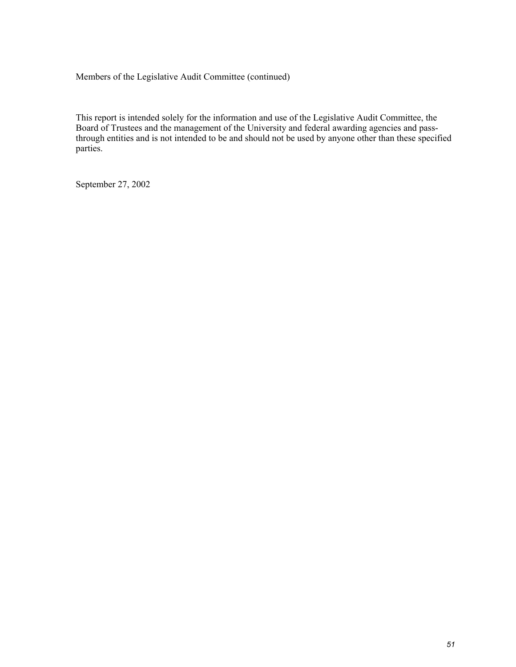Members of the Legislative Audit Committee (continued)

This report is intended solely for the information and use of the Legislative Audit Committee, the Board of Trustees and the management of the University and federal awarding agencies and passthrough entities and is not intended to be and should not be used by anyone other than these specified parties.

September 27, 2002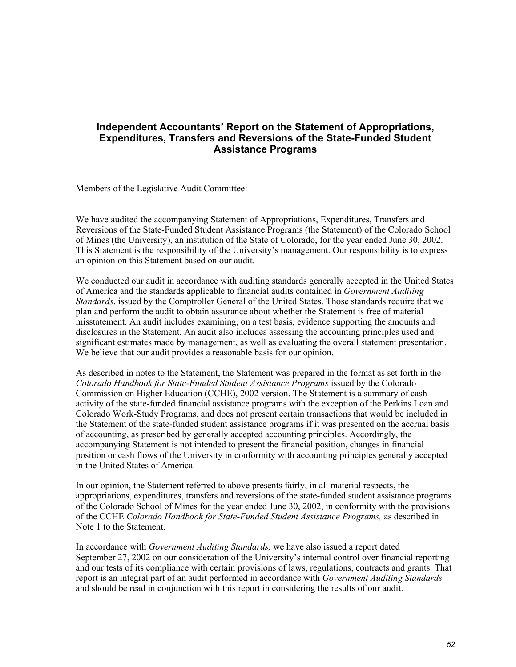### **Independent Accountants' Report on the Statement of Appropriations, Expenditures, Transfers and Reversions of the State-Funded Student Assistance Programs**

Members of the Legislative Audit Committee:

We have audited the accompanying Statement of Appropriations, Expenditures, Transfers and Reversions of the State-Funded Student Assistance Programs (the Statement) of the Colorado School of Mines (the University), an institution of the State of Colorado, for the year ended June 30, 2002. This Statement is the responsibility of the University's management. Our responsibility is to express an opinion on this Statement based on our audit.

We conducted our audit in accordance with auditing standards generally accepted in the United States of America and the standards applicable to financial audits contained in *Government Auditing Standards*, issued by the Comptroller General of the United States. Those standards require that we plan and perform the audit to obtain assurance about whether the Statement is free of material misstatement. An audit includes examining, on a test basis, evidence supporting the amounts and disclosures in the Statement. An audit also includes assessing the accounting principles used and significant estimates made by management, as well as evaluating the overall statement presentation. We believe that our audit provides a reasonable basis for our opinion.

As described in notes to the Statement, the Statement was prepared in the format as set forth in the *Colorado Handbook for State-Funded Student Assistance Programs* issued by the Colorado Commission on Higher Education (CCHE), 2002 version. The Statement is a summary of cash activity of the state-funded financial assistance programs with the exception of the Perkins Loan and Colorado Work-Study Programs, and does not present certain transactions that would be included in the Statement of the state-funded student assistance programs if it was presented on the accrual basis of accounting, as prescribed by generally accepted accounting principles. Accordingly, the accompanying Statement is not intended to present the financial position, changes in financial position or cash flows of the University in conformity with accounting principles generally accepted in the United States of America.

In our opinion, the Statement referred to above presents fairly, in all material respects, the appropriations, expenditures, transfers and reversions of the state-funded student assistance programs of the Colorado School of Mines for the year ended June 30, 2002, in conformity with the provisions of the CCHE *Colorado Handbook for State-Funded Student Assistance Programs,* as described in Note 1 to the Statement.

In accordance with *Government Auditing Standards,* we have also issued a report dated September 27, 2002 on our consideration of the University's internal control over financial reporting and our tests of its compliance with certain provisions of laws, regulations, contracts and grants. That report is an integral part of an audit performed in accordance with *Government Auditing Standards* and should be read in conjunction with this report in considering the results of our audit.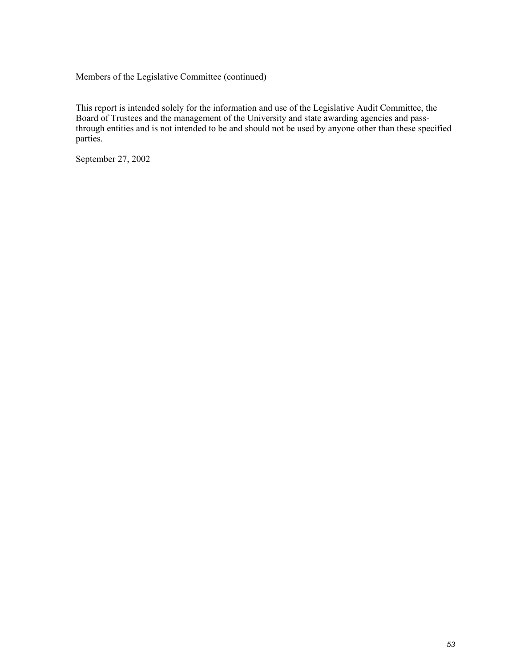Members of the Legislative Committee (continued)

This report is intended solely for the information and use of the Legislative Audit Committee, the Board of Trustees and the management of the University and state awarding agencies and passthrough entities and is not intended to be and should not be used by anyone other than these specified parties.

September 27, 2002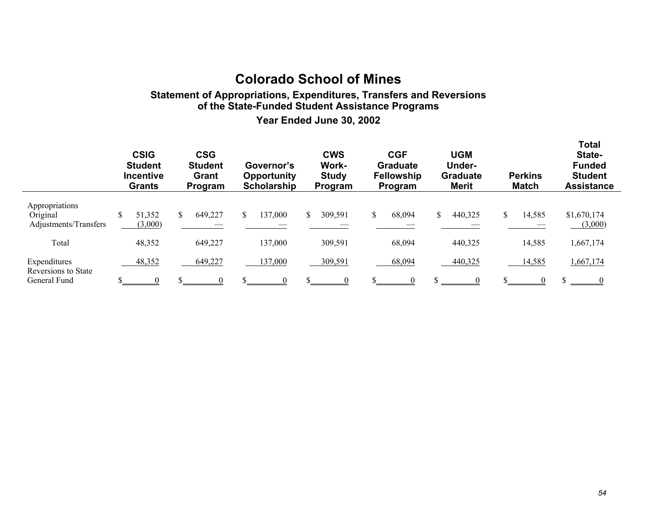## **Colorado School of Mines**

### **Statement of Appropriations, Expenditures, Transfers and Reversions of the State-Funded Student Assistance Programs**

**Year Ended June 30, 2002**

|                                                     | <b>CSIG</b><br><b>Student</b><br><b>Incentive</b><br><b>Grants</b> | <b>CSG</b><br><b>Student</b><br>Grant<br>Program | Governor's<br><b>Opportunity</b><br><b>Scholarship</b> |  | <b>CWS</b><br><b>Work-</b><br><b>Study</b><br>Program | <b>CGF</b><br><b>Graduate</b><br><b>Fellowship</b><br>Program |        | <b>UGM</b><br><b>Under-</b><br><b>Graduate</b><br><b>Merit</b> |         | <b>Perkins</b><br><b>Match</b> |        | <b>Total</b><br>State-<br><b>Funded</b><br><b>Student</b><br><b>Assistance</b> |                        |
|-----------------------------------------------------|--------------------------------------------------------------------|--------------------------------------------------|--------------------------------------------------------|--|-------------------------------------------------------|---------------------------------------------------------------|--------|----------------------------------------------------------------|---------|--------------------------------|--------|--------------------------------------------------------------------------------|------------------------|
| Appropriations<br>Original<br>Adjustments/Transfers | 51,352<br>(3,000)                                                  | 649,227                                          | 137,000                                                |  | 309,591                                               |                                                               | 68,094 | \$                                                             | 440,325 | \$.                            | 14,585 |                                                                                | \$1,670,174<br>(3,000) |
| Total                                               | 48,352                                                             | 649,227                                          | 137,000                                                |  | 309,591                                               |                                                               | 68,094 |                                                                | 440,325 |                                | 14,585 |                                                                                | 1,667,174              |
| Expenditures<br>Reversions to State<br>General Fund | 48,352                                                             | 649,227                                          | 137,000                                                |  | 309,591                                               |                                                               | 68,094 |                                                                | 440,325 |                                | 14,585 | \$                                                                             | 1,667,174              |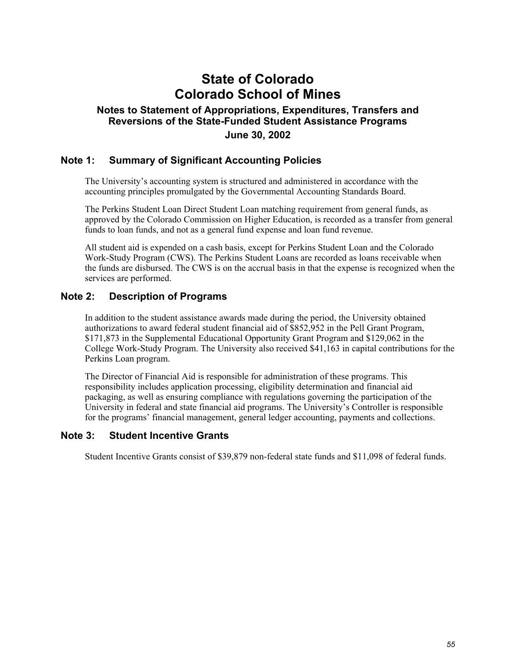## **State of Colorado Colorado School of Mines**

### **Notes to Statement of Appropriations, Expenditures, Transfers and Reversions of the State-Funded Student Assistance Programs June 30, 2002**

### **Note 1: Summary of Significant Accounting Policies**

The University's accounting system is structured and administered in accordance with the accounting principles promulgated by the Governmental Accounting Standards Board.

The Perkins Student Loan Direct Student Loan matching requirement from general funds, as approved by the Colorado Commission on Higher Education, is recorded as a transfer from general funds to loan funds, and not as a general fund expense and loan fund revenue.

All student aid is expended on a cash basis, except for Perkins Student Loan and the Colorado Work-Study Program (CWS). The Perkins Student Loans are recorded as loans receivable when the funds are disbursed. The CWS is on the accrual basis in that the expense is recognized when the services are performed.

#### **Note 2: Description of Programs**

In addition to the student assistance awards made during the period, the University obtained authorizations to award federal student financial aid of \$852,952 in the Pell Grant Program, \$171,873 in the Supplemental Educational Opportunity Grant Program and \$129,062 in the College Work-Study Program. The University also received \$41,163 in capital contributions for the Perkins Loan program.

The Director of Financial Aid is responsible for administration of these programs. This responsibility includes application processing, eligibility determination and financial aid packaging, as well as ensuring compliance with regulations governing the participation of the University in federal and state financial aid programs. The University's Controller is responsible for the programs' financial management, general ledger accounting, payments and collections.

#### **Note 3: Student Incentive Grants**

Student Incentive Grants consist of \$39,879 non-federal state funds and \$11,098 of federal funds.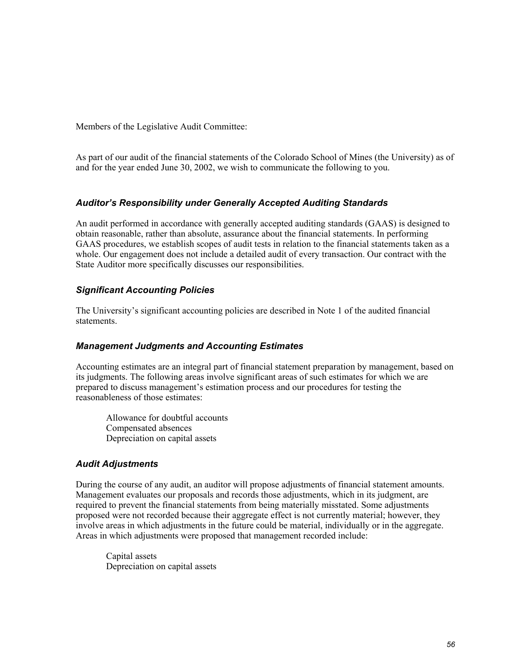Members of the Legislative Audit Committee:

As part of our audit of the financial statements of the Colorado School of Mines (the University) as of and for the year ended June 30, 2002, we wish to communicate the following to you.

### *Auditor's Responsibility under Generally Accepted Auditing Standards*

An audit performed in accordance with generally accepted auditing standards (GAAS) is designed to obtain reasonable, rather than absolute, assurance about the financial statements. In performing GAAS procedures, we establish scopes of audit tests in relation to the financial statements taken as a whole. Our engagement does not include a detailed audit of every transaction. Our contract with the State Auditor more specifically discusses our responsibilities.

### *Significant Accounting Policies*

The University's significant accounting policies are described in Note 1 of the audited financial statements.

#### *Management Judgments and Accounting Estimates*

Accounting estimates are an integral part of financial statement preparation by management, based on its judgments. The following areas involve significant areas of such estimates for which we are prepared to discuss management's estimation process and our procedures for testing the reasonableness of those estimates:

Allowance for doubtful accounts Compensated absences Depreciation on capital assets

### *Audit Adjustments*

During the course of any audit, an auditor will propose adjustments of financial statement amounts. Management evaluates our proposals and records those adjustments, which in its judgment, are required to prevent the financial statements from being materially misstated. Some adjustments proposed were not recorded because their aggregate effect is not currently material; however, they involve areas in which adjustments in the future could be material, individually or in the aggregate. Areas in which adjustments were proposed that management recorded include:

Capital assets Depreciation on capital assets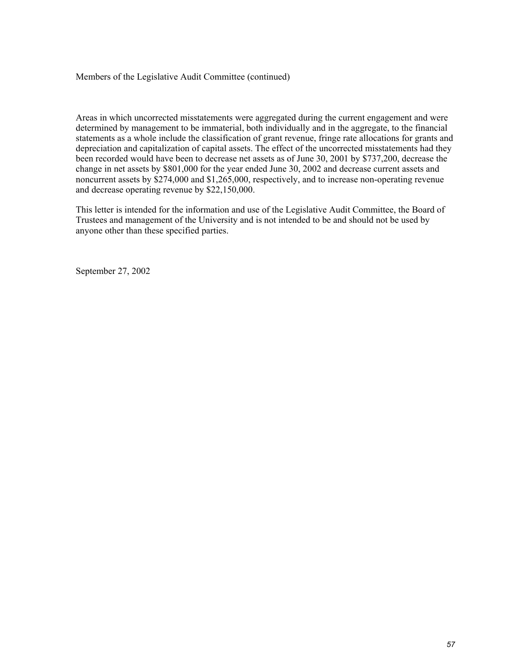#### Members of the Legislative Audit Committee (continued)

Areas in which uncorrected misstatements were aggregated during the current engagement and were determined by management to be immaterial, both individually and in the aggregate, to the financial statements as a whole include the classification of grant revenue, fringe rate allocations for grants and depreciation and capitalization of capital assets. The effect of the uncorrected misstatements had they been recorded would have been to decrease net assets as of June 30, 2001 by \$737,200, decrease the change in net assets by \$801,000 for the year ended June 30, 2002 and decrease current assets and noncurrent assets by \$274,000 and \$1,265,000, respectively, and to increase non-operating revenue and decrease operating revenue by \$22,150,000.

This letter is intended for the information and use of the Legislative Audit Committee, the Board of Trustees and management of the University and is not intended to be and should not be used by anyone other than these specified parties.

September 27, 2002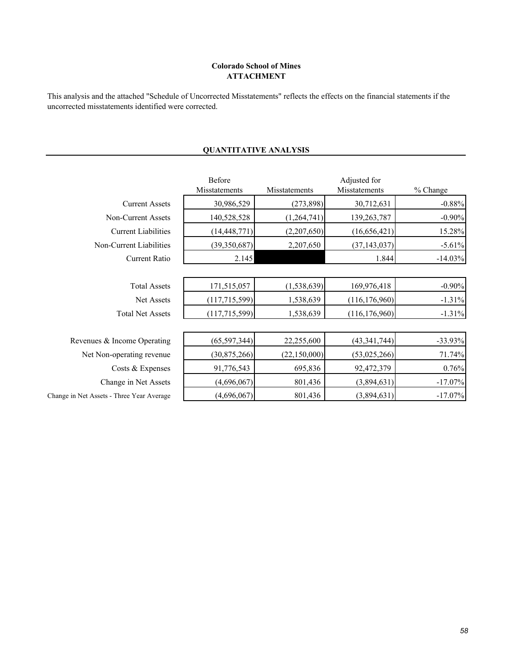#### **ATTACHMENT Colorado School of Mines**

This analysis and the attached "Schedule of Uncorrected Misstatements" reflects the effects on the financial statements if the uncorrected misstatements identified were corrected.

| Before<br>Misstatements | Misstatements  | Adjusted for<br>Misstatements | % Change   |  |  |
|-------------------------|----------------|-------------------------------|------------|--|--|
| 30,986,529              | (273, 898)     | 30,712,631                    | $-0.88%$   |  |  |
| 140,528,528             | (1,264,741)    | 139,263,787                   | $-0.90%$   |  |  |
| (14, 448, 771)          | (2,207,650)    | (16, 656, 421)                | 15.28%     |  |  |
| (39,350,687)            | 2,207,650      | (37, 143, 037)                | $-5.61%$   |  |  |
| 2.145                   |                | 1.844                         | $-14.03%$  |  |  |
|                         |                |                               |            |  |  |
| 171,515,057             | (1, 538, 639)  | 169,976,418                   | $-0.90%$   |  |  |
| (117, 715, 599)         | 1,538,639      | (116, 176, 960)               | $-1.31%$   |  |  |
| (117, 715, 599)         | 1,538,639      | (116, 176, 960)               | $-1.31%$   |  |  |
|                         |                |                               |            |  |  |
| (65, 597, 344)          | 22,255,600     | (43, 341, 744)                | $-33.93%$  |  |  |
| (30, 875, 266)          | (22, 150, 000) | (53,025,266)                  | 71.74%     |  |  |
| 91,776,543              | 695,836        | 92,472,379                    | 0.76%      |  |  |
| (4,696,067)             | 801,436        | (3,894,631)                   | $-17.07\%$ |  |  |
| (4,696,067)             | 801,436        | (3,894,631)                   | $-17.07\%$ |  |  |
|                         |                |                               |            |  |  |

### **QUANTITATIVE ANALYSIS**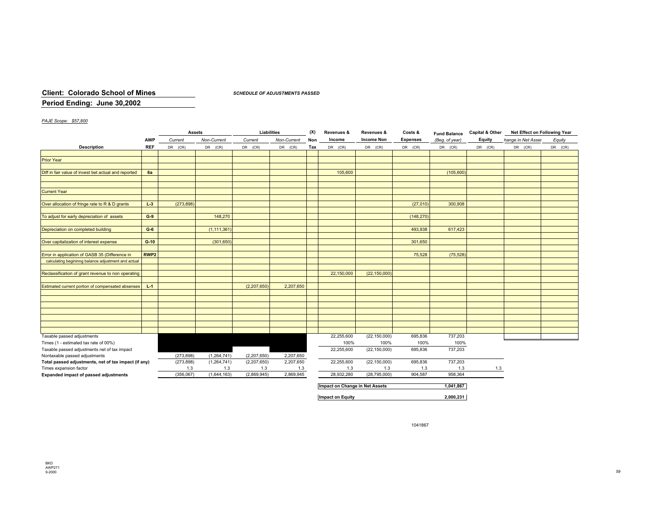#### **Client: Colorado School of Mines**

*SCHEDULE OF ADJUSTMENTS PASSED*

#### **Period Ending: June 30,2002**

#### *PAJE Scope: \$57,800*

|                                                      |                  | <b>Assets</b> |               | Liabilities |             | (X) | Revenues &  | Revenues &        | Costs &         | <b>Fund Balance</b> | <b>Capital &amp; Other</b> | Net Effect on Following Year |         |
|------------------------------------------------------|------------------|---------------|---------------|-------------|-------------|-----|-------------|-------------------|-----------------|---------------------|----------------------------|------------------------------|---------|
|                                                      | <b>AWP</b>       | Current       | Non-Current   | Current     | Non-Current | Non | Income      | <b>Income Non</b> | <b>Expenses</b> | (Beg. of year)      | Equity                     | hange in Net Asset           | Equity  |
| <b>Description</b>                                   | <b>REF</b>       | $DR$ $(CR)$   | DR (CR)       | $DR$ $(CR)$ | DR (CR)     | Tax | $DR$ $(CR)$ | DR (CR)           | DR (CR)         | $DR$ $(CR)$         | DR (CR)                    | DR (CR)                      | DR (CR) |
|                                                      |                  |               |               |             |             |     |             |                   |                 |                     |                            |                              |         |
| <b>Prior Year</b>                                    |                  |               |               |             |             |     |             |                   |                 |                     |                            |                              |         |
|                                                      |                  |               |               |             |             |     |             |                   |                 |                     |                            |                              |         |
| Diff in fair value of invest bet actual and reported | 6a               |               |               |             |             |     | 105,600     |                   |                 | (105,600)           |                            |                              |         |
|                                                      |                  |               |               |             |             |     |             |                   |                 |                     |                            |                              |         |
|                                                      |                  |               |               |             |             |     |             |                   |                 |                     |                            |                              |         |
| <b>Current Year</b>                                  |                  |               |               |             |             |     |             |                   |                 |                     |                            |                              |         |
|                                                      |                  |               |               |             |             |     |             |                   |                 |                     |                            |                              |         |
| Over allocation of fringe rate to R & D grants       | $L-3$            | (273, 898)    |               |             |             |     |             |                   | (27,010)        | 300,908             |                            |                              |         |
|                                                      |                  |               |               |             |             |     |             |                   |                 |                     |                            |                              |         |
| To adjust for early depreciation of assets           | $G-9$            |               | 148,270       |             |             |     |             |                   | (148, 270)      |                     |                            |                              |         |
|                                                      |                  |               |               |             |             |     |             |                   |                 |                     |                            |                              |         |
| Depreciation on completed building                   | $G-6$            |               | (1, 111, 361) |             |             |     |             |                   | 493,938         | 617,423             |                            |                              |         |
|                                                      |                  |               |               |             |             |     |             |                   |                 |                     |                            |                              |         |
| Over capitalization of interest expense              | $G-10$           |               | (301, 650)    |             |             |     |             |                   | 301,650         |                     |                            |                              |         |
|                                                      |                  |               |               |             |             |     |             |                   |                 |                     |                            |                              |         |
| Error in application of GASB 35 (Difference in       | RWP <sub>2</sub> |               |               |             |             |     |             |                   | 75,528          | (75, 528)           |                            |                              |         |
| calculating begininng balance adjustment and actual  |                  |               |               |             |             |     |             |                   |                 |                     |                            |                              |         |
|                                                      |                  |               |               |             |             |     |             |                   |                 |                     |                            |                              |         |
| Reclassification of grant revenue to non operating   |                  |               |               |             |             |     | 22,150,000  | (22, 150, 000)    |                 |                     |                            |                              |         |
|                                                      |                  |               |               |             |             |     |             |                   |                 |                     |                            |                              |         |
| Estimated current portion of compensated absenses    | $L-1$            |               |               | (2,207,650) | 2,207,650   |     |             |                   |                 |                     |                            |                              |         |
|                                                      |                  |               |               |             |             |     |             |                   |                 |                     |                            |                              |         |
|                                                      |                  |               |               |             |             |     |             |                   |                 |                     |                            |                              |         |
|                                                      |                  |               |               |             |             |     |             |                   |                 |                     |                            |                              |         |
|                                                      |                  |               |               |             |             |     |             |                   |                 |                     |                            |                              |         |
|                                                      |                  |               |               |             |             |     |             |                   |                 |                     |                            |                              |         |
|                                                      |                  |               |               |             |             |     |             |                   |                 |                     |                            |                              |         |
|                                                      |                  |               |               |             |             |     |             |                   |                 |                     |                            |                              |         |
| Taxable passed adjustments                           |                  |               |               |             |             |     | 22,255,600  | (22, 150, 000)    | 695,836         | 737,203             |                            |                              |         |
| Times (1 - estimated tax rate of 00%)                |                  |               |               |             |             |     | 100%        | 100%              | 100%            | 100%                |                            |                              |         |
| Taxable passed adjustments net of tax impact         |                  |               |               |             |             |     | 22,255,600  | (22, 150, 000)    | 695,836         | 737,203             |                            |                              |         |
| Nontaxable passed adjustments                        |                  | (273, 898)    | (1,264,741)   | (2,207,650) | 2,207,650   |     |             |                   |                 |                     |                            |                              |         |
| Total passed adjustments, net of tax impact (if any) |                  | (273, 898)    | (1,264,741)   | (2,207,650) | 2,207,650   |     | 22,255,600  | (22, 150, 000)    | 695,836         | 737,203             |                            |                              |         |
| Times expansion factor                               |                  | 1.3           | 1.3           | 1.3         | 1.3         |     | 1.3         | 1.3               | 1.3             | 1.3                 | 1.3                        |                              |         |
| Expanded impact of passed adjustments                |                  | (356,067)     | (1,644,163)   | (2,869,945) | 2,869,945   |     | 28,932,280  | (28, 795, 000)    | 904,587         | 958,364             |                            |                              |         |
|                                                      |                  |               |               |             |             |     |             |                   |                 |                     |                            |                              |         |

| 1.041.867 |
|-----------|
|           |
| 2,000,231 |
|           |